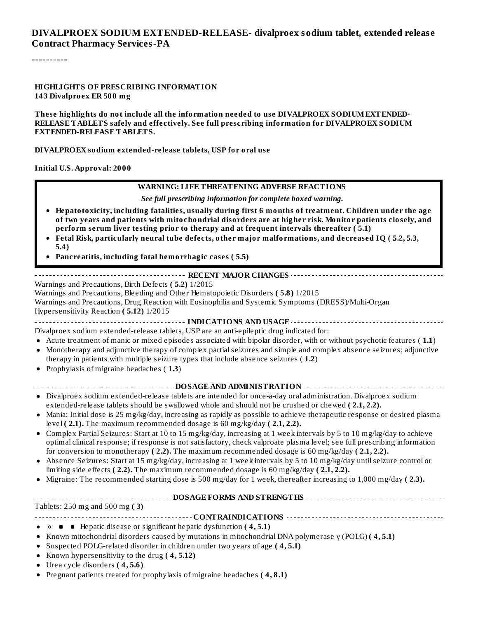#### **DIVALPROEX SODIUM EXTENDED-RELEASE- divalproex sodium tablet, extended releas e Contract Pharmacy Services-PA**

----------

#### **HIGHLIGHTS OF PRESCRIBING INFORMATION 143 Divalproex ER 500 mg**

**These highlights do not include all the information needed to use DIVALPROEX SODIUMEXTENDED-RELEASE TABLETS safely and effectively. See full prescribing information for DIVALPROEX SODIUM EXTENDED-RELEASE TABLETS.**

#### **DIVALPROEX sodium extended-release tablets, USP for oral use**

**Initial U.S. Approval: 2000**

#### **WARNING: LIFE THREATENING ADVERSE REACTIONS**

*See full prescribing information for complete boxed warning.*

- **Hepatotoxicity, including fatalities, usually during first 6 months of treatment. Children under the age of two years and patients with mitochondrial disorders are at higher risk. Monitor patients closely, and perform serum liver testing prior to therapy and at frequent intervals thereafter ( 5.1)**
- **Fetal Risk, particularly neural tube defects, other major malformations, and decreased IQ ( 5.2, 5.3, 5.4)**
- **Pancreatitis, including fatal hemorrhagic cases ( 5.5)**

#### **RECENT MAJOR CHANGES**

Warnings and Precautions, Birth Defects **( 5.2)** 1/2015

Warnings and Precautions, Bleeding and Other Hematopoietic Disorders **( 5.8)** 1/2015

Warnings and Precautions, Drug Reaction with Eosinophilia and Systemic Symptoms (DRESS)/Multi-Organ Hypersensitivity Reaction **( 5.12)** 1/2015

**INDICATIONS AND USAGE**

- Divalproex sodium extended-release tablets, USP are an anti-epileptic drug indicated for:
- Acute treatment of manic or mixed episodes associated with bipolar disorder, with or without psychotic features ( **1.1**)
- Monotherapy and adjunctive therapy of complex partialseizures and simple and complex absence seizures; adjunctive  $\bullet$ therapy in patients with multiple seizure types that include absence seizures ( **1.2**)
- Prophylaxis of migraine headaches ( **1.3**)

#### **DOSAGE AND ADMINISTRATION**

- Divalproex sodium extended-release tablets are intended for once-a-day oral administration. Divalproex sodium extended-release tablets should be swallowed whole and should not be crushed or chewed **( 2.1, 2.2).**
- Mania: Initial dose is 25 mg/kg/day, increasing as rapidly as possible to achieve therapeutic response or desired plasma level **( 2.1).** The maximum recommended dosage is 60 mg/kg/day **( 2.1, 2.2).**
- Complex Partial Seizures: Start at 10 to 15 mg/kg/day, increasing at 1 week intervals by 5 to 10 mg/kg/day to achieve optimal clinical response; if response is not satisfactory, check valproate plasma level; see full prescribing information for conversion to monotherapy **( 2.2).** The maximum recommended dosage is 60 mg/kg/day **( 2.1, 2.2).**
- Absence Seizures: Start at 15 mg/kg/day, increasing at 1 week intervals by 5 to 10 mg/kg/day untilseizure control or  $\bullet$ limiting side effects **( 2.2).** The maximum recommended dosage is 60 mg/kg/day **( 2.1, 2.2).**
- Migraine: The recommended starting dose is 500 mg/day for 1 week, thereafter increasing to 1,000 mg/day **( 2.3).**  $\bullet$

#### **DOSAGE FORMS AND STRENGTHS**

Tablets: 250 mg and 500 mg **( 3)**

**CONTRAINDICATIONS**

- Hepatic disease or significant hepatic dysfunction **( 4, 5.1)**
- Known mitochondrial disorders caused by mutations in mitochondrial DNA polymerase γ (POLG) **( 4, 5.1)**  $\bullet$
- Suspected POLG-related disorder in children under two years of age **( 4, 5.1)**
- Known hypersensitivity to the drug **( 4, 5.12)**
- Urea cycle disorders **( 4, 5.6)**
- Pregnant patients treated for prophylaxis of migraine headaches **( 4, 8.1)**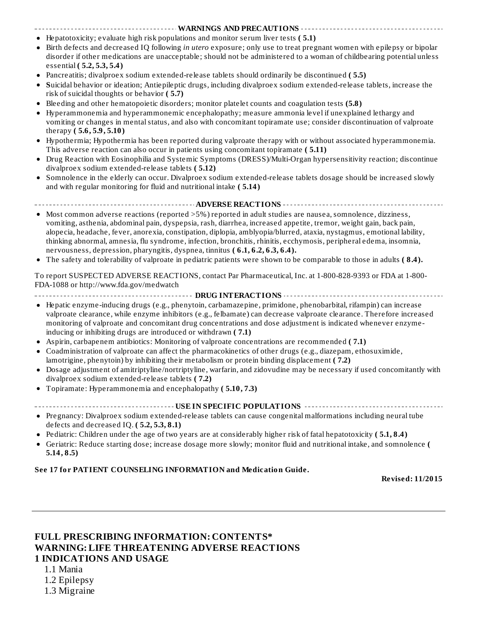#### **WARNINGS AND PRECAUTIONS**

- Hepatotoxicity; evaluate high risk populations and monitor serum liver tests **( 5.1)**
- Birth defects and decreased IQ following *in utero* exposure; only use to treat pregnant women with epilepsy or bipolar  $\bullet$ disorder if other medications are unacceptable; should not be administered to a woman of childbearing potential unless essential **( 5.2, 5.3, 5.4)**
- Pancreatitis; divalproex sodium extended-release tablets should ordinarily be discontinued **( 5.5)**
- $\bullet$ **S**uicidal behavior or ideation; Antiepileptic drugs, including divalproex sodium extended-release tablets, increase the risk of suicidal thoughts or behavior **( 5.7)**
- Bleeding and other hematopoietic disorders; monitor platelet counts and coagulation tests **(5.8)**
- Hyperammonemia and hyperammonemic encephalopathy; measure ammonia level if unexplained lethargy and  $\bullet$ vomiting or changes in mental status, and also with concomitant topiramate use; consider discontinuation of valproate therapy **( 5.6, 5.9, 5.10)**
- $\bullet$ Hypothermia; Hypothermia has been reported during valproate therapy with or without associated hyperammonemia. This adverse reaction can also occur in patients using concomitant topiramate **( 5.11)**
- Drug Reaction with Eosinophilia and Systemic Symptoms (DRESS)/Multi-Organ hypersensitivity reaction; discontinue divalproex sodium extended-release tablets **( 5.12)**
- Somnolence in the elderly can occur. Divalproex sodium extended-release tablets dosage should be increased slowly  $\bullet$ and with regular monitoring for fluid and nutritional intake **( 5.14)**

**ADVERSE REACTIONS**

- Most common adverse reactions (reported >5%) reported in adult studies are nausea, somnolence, dizziness, vomiting, asthenia, abdominal pain, dyspepsia, rash, diarrhea, increased appetite, tremor, weight gain, back pain, alopecia, headache, fever, anorexia, constipation, diplopia, amblyopia/blurred, ataxia, nystagmus, emotional lability, thinking abnormal, amnesia, flu syndrome, infection, bronchitis, rhinitis, ecchymosis, peripheral edema, insomnia, nervousness, depression, pharyngitis, dyspnea, tinnitus **( 6.1, 6.2, 6.3, 6.4).**
- The safety and tolerability of valproate in pediatric patients were shown to be comparable to those in adults **( 8.4).**

To report SUSPECTED ADVERSE REACTIONS, contact Par Pharmaceutical, Inc. at 1-800-828-9393 or FDA at 1-800- FDA-1088 or http://www.fda.gov/medwatch

**DRUG INTERACTIONS**

- Hepatic enzyme-inducing drugs (e.g., phenytoin, carbamazepine, primidone, phenobarbital, rifampin) can increase valproate clearance, while enzyme inhibitors (e.g., felbamate) can decrease valproate clearance. Therefore increased monitoring of valproate and concomitant drug concentrations and dose adjustment is indicated whenever enzymeinducing or inhibiting drugs are introduced or withdrawn **( 7.1)**
- Aspirin, carbapenem antibiotics: Monitoring of valproate concentrations are recommended **( 7.1)**
- Coadministration of valproate can affect the pharmacokinetics of other drugs (e.g., diazepam, ethosuximide,  $\bullet$ lamotrigine, phenytoin) by inhibiting their metabolism or protein binding displacement **( 7.2)**
- Dosage adjustment of amitriptyline/nortriptyline, warfarin, and zidovudine may be necessary if used concomitantly with  $\bullet$ divalproex sodium extended-release tablets **( 7.2)**
- Topiramate: Hyperammonemia and encephalopathy **( 5.10, 7.3)**  $\bullet$

|--|--|

- Pregnancy: Divalproex sodium extended-release tablets can cause congenital malformations including neural tube defects and decreased IQ. **( 5.2, 5.3, 8.1)**
- Pediatric: Children under the age of two years are at considerably higher risk of fatal hepatotoxicity **( 5.1, 8.4)**
- Geriatric: Reduce starting dose; increase dosage more slowly; monitor fluid and nutritional intake, and somnolence **( 5.14, 8.5)**

#### **See 17 for PATIENT COUNSELING INFORMATION and Medication Guide.**

**Revised: 11/2015**

#### **FULL PRESCRIBING INFORMATION: CONTENTS\* WARNING: LIFE THREATENING ADVERSE REACTIONS 1 INDICATIONS AND USAGE**

1.1 Mania

1.2 Epilepsy

1.3 Migraine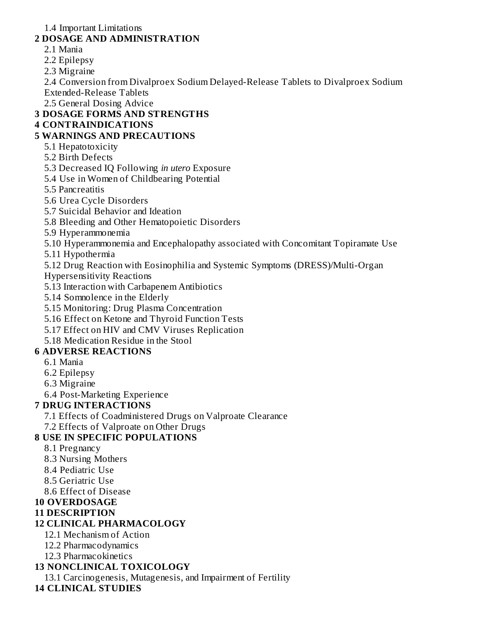1.4 Important Limitations

#### **2 DOSAGE AND ADMINISTRATION**

- 2.1 Mania
- 2.2 Epilepsy
- 2.3 Migraine

2.4 Conversion from Divalproex Sodium Delayed-Release Tablets to Divalproex Sodium Extended-Release Tablets

2.5 General Dosing Advice

### **3 DOSAGE FORMS AND STRENGTHS**

#### **4 CONTRAINDICATIONS**

#### **5 WARNINGS AND PRECAUTIONS**

- 5.1 Hepatotoxicity
- 5.2 Birth Defects
- 5.3 Decreased IQ Following *in utero* Exposure
- 5.4 Use in Women of Childbearing Potential
- 5.5 Pancreatitis
- 5.6 Urea Cycle Disorders
- 5.7 Suicidal Behavior and Ideation
- 5.8 Bleeding and Other Hematopoietic Disorders
- 5.9 Hyperammonemia
- 5.10 Hyperammonemia and Encephalopathy associated with Concomitant Topiramate Use
- 5.11 Hypothermia
- 5.12 Drug Reaction with Eosinophilia and Systemic Symptoms (DRESS)/Multi-Organ
- Hypersensitivity Reactions
- 5.13 Interaction with Carbapenem Antibiotics
- 5.14 Somnolence in the Elderly
- 5.15 Monitoring: Drug Plasma Concentration
- 5.16 Effect on Ketone and Thyroid Function Tests
- 5.17 Effect on HIV and CMV Viruses Replication
- 5.18 Medication Residue in the Stool

### **6 ADVERSE REACTIONS**

- 6.1 Mania
- 6.2 Epilepsy
- 6.3 Migraine
- 6.4 Post-Marketing Experience

### **7 DRUG INTERACTIONS**

- 7.1 Effects of Coadministered Drugs on Valproate Clearance
- 7.2 Effects of Valproate on Other Drugs

## **8 USE IN SPECIFIC POPULATIONS**

- 8.1 Pregnancy
- 8.3 Nursing Mothers
- 8.4 Pediatric Use
- 8.5 Geriatric Use
- 8.6 Effect of Disease

## **10 OVERDOSAGE**

**11 DESCRIPTION**

## **12 CLINICAL PHARMACOLOGY**

- 12.1 Mechanism of Action
- 12.2 Pharmacodynamics
- 12.3 Pharmacokinetics

## **13 NONCLINICAL TOXICOLOGY**

13.1 Carcinogenesis, Mutagenesis, and Impairment of Fertility

## **14 CLINICAL STUDIES**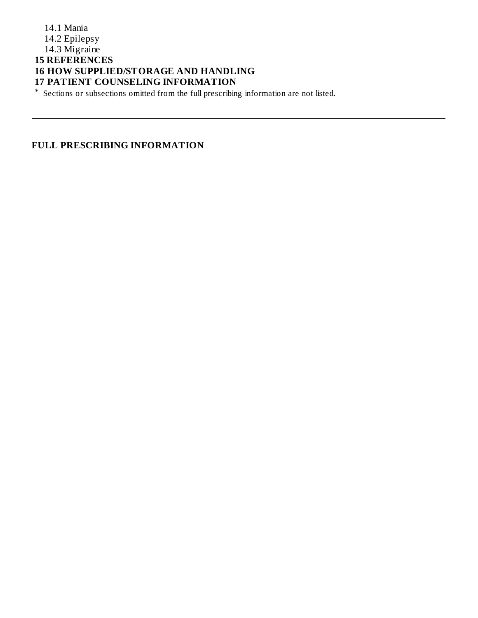#### 14.1 Mania 14.2 Epilepsy 14.3 Migraine **15 REFERENCES 16 HOW SUPPLIED/STORAGE AND HANDLING 17 PATIENT COUNSELING INFORMATION**

\* Sections or subsections omitted from the full prescribing information are not listed.

#### **FULL PRESCRIBING INFORMATION**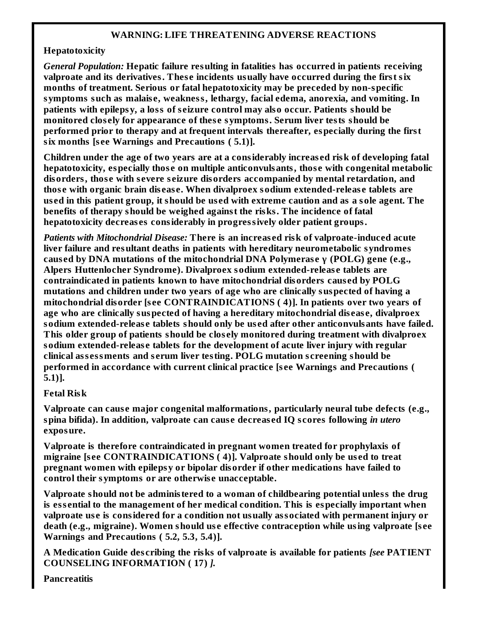#### **WARNING: LIFE THREATENING ADVERSE REACTIONS**

#### **Hepatotoxicity**

*General Population:* **Hepatic failure resulting in fatalities has occurred in patients receiving valproate and its derivatives. Thes e incidents usually have occurred during the first six months of treatment. Serious or fatal hepatotoxicity may be preceded by non-specific symptoms such as malais e, weakness, lethargy, facial edema, anorexia, and vomiting. In patients with epilepsy, a loss of s eizure control may also occur. Patients should be monitored clos ely for appearance of thes e symptoms. Serum liver tests should be performed prior to therapy and at frequent intervals thereafter, especially during the first six months [s ee Warnings and Precautions ( 5.1)].**

**Children under the age of two years are at a considerably increas ed risk of developing fatal hepatotoxicity, especially thos e on multiple anticonvulsants, thos e with congenital metabolic disorders, thos e with s evere s eizure disorders accompanied by mental retardation, and thos e with organic brain dis eas e. When divalproex sodium extended-releas e tablets are** used in this patient group, it should be used with extreme caution and as a sole agent. The **benefits of therapy should be weighed against the risks. The incidence of fatal hepatotoxicity decreas es considerably in progressively older patient groups.**

*Patients with Mitochondrial Disease:* **There is an increas ed risk of valproate-induced acute liver failure and resultant deaths in patients with hereditary neurometabolic syndromes caus ed by DNA mutations of the mitochondrial DNA Polymeras e γ (POLG) gene (e.g., Alpers Huttenlocher Syndrome). Divalproex sodium extended-releas e tablets are contraindicated in patients known to have mitochondrial disorders caus ed by POLG mutations and children under two years of age who are clinically suspected of having a mitochondrial disorder [s ee CONTRAINDICATIONS ( 4)]. In patients over two years of age who are clinically suspected of having a hereditary mitochondrial dis eas e, divalproex sodium extended-releas e tablets should only be us ed after other anticonvulsants have failed. This older group of patients should be clos ely monitored during treatment with divalproex sodium extended-releas e tablets for the development of acute liver injury with regular clinical ass essments and s erum liver testing. POLG mutation s creening should be performed in accordance with current clinical practice [s ee Warnings and Precautions ( 5.1)].**

#### **Fetal Risk**

**Valproate can caus e major congenital malformations, particularly neural tube defects (e.g., spina bifida). In addition, valproate can caus e decreas ed IQ s cores following** *in utero* **exposure.**

**Valproate is therefore contraindicated in pregnant women treated for prophylaxis of migraine [s ee CONTRAINDICATIONS ( 4)]. Valproate should only be us ed to treat pregnant women with epilepsy or bipolar disorder if other medications have failed to control their symptoms or are otherwis e unacceptable.**

**Valproate should not be administered to a woman of childbearing potential unless the drug is ess ential to the management of her medical condition. This is especially important when valproate us e is considered for a condition not usually associated with permanent injury or death (e.g., migraine). Women should us e effective contraception while using valproate [s ee Warnings and Precautions ( 5.2, 5.3, 5.4)].**

**A Medication Guide des cribing the risks of valproate is available for patients** *[see* **PATIENT COUNSELING INFORMATION ( 17)** *].*

**Pancreatitis**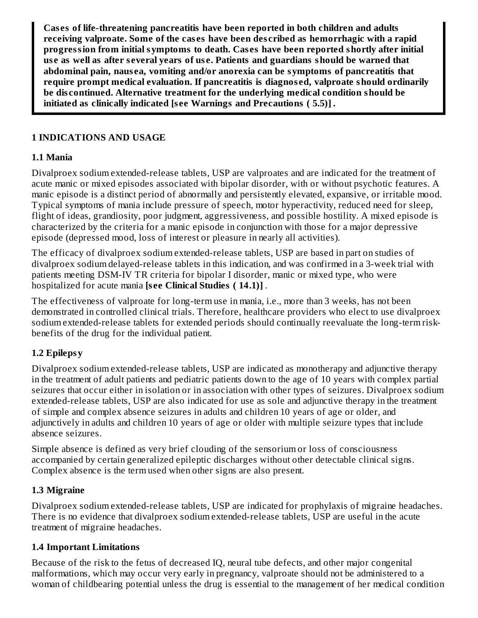**Cas es of life-threatening pancreatitis have been reported in both children and adults receiving valproate. Some of the cas es have been des cribed as hemorrhagic with a rapid progression from initial symptoms to death. Cas es have been reported shortly after initial us e as well as after s everal years of us e. Patients and guardians should be warned that abdominal pain, naus ea, vomiting and/or anorexia can be symptoms of pancreatitis that require prompt medical evaluation. If pancreatitis is diagnos ed, valproate should ordinarily be dis continued. Alternative treatment for the underlying medical condition should be initiated as clinically indicated [s ee Warnings and Precautions ( 5.5)]** *.*

#### **1 INDICATIONS AND USAGE**

#### **1.1 Mania**

Divalproex sodium extended-release tablets, USP are valproates and are indicated for the treatment of acute manic or mixed episodes associated with bipolar disorder, with or without psychotic features. A manic episode is a distinct period of abnormally and persistently elevated, expansive, or irritable mood. Typical symptoms of mania include pressure of speech, motor hyperactivity, reduced need for sleep, flight of ideas, grandiosity, poor judgment, aggressiveness, and possible hostility. A mixed episode is characterized by the criteria for a manic episode in conjunction with those for a major depressive episode (depressed mood, loss of interest or pleasure in nearly all activities).

The efficacy of divalproex sodium extended-release tablets, USP are based in part on studies of divalproex sodium delayed-release tablets in this indication, and was confirmed in a 3-week trial with patients meeting DSM-IV TR criteria for bipolar I disorder, manic or mixed type, who were hospitalized for acute mania **[s ee Clinical Studies ( 14.1)]** *.*

The effectiveness of valproate for long-term use in mania, i.e., more than 3 weeks, has not been demonstrated in controlled clinical trials. Therefore, healthcare providers who elect to use divalproex sodium extended-release tablets for extended periods should continually reevaluate the long-term riskbenefits of the drug for the individual patient.

### **1.2 Epilepsy**

Divalproex sodium extended-release tablets, USP are indicated as monotherapy and adjunctive therapy in the treatment of adult patients and pediatric patients down to the age of 10 years with complex partial seizures that occur either in isolation or in association with other types of seizures. Divalproex sodium extended-release tablets, USP are also indicated for use as sole and adjunctive therapy in the treatment of simple and complex absence seizures in adults and children 10 years of age or older, and adjunctively in adults and children 10 years of age or older with multiple seizure types that include absence seizures.

Simple absence is defined as very brief clouding of the sensorium or loss of consciousness accompanied by certain generalized epileptic discharges without other detectable clinical signs. Complex absence is the term used when other signs are also present.

#### **1.3 Migraine**

Divalproex sodium extended-release tablets, USP are indicated for prophylaxis of migraine headaches. There is no evidence that divalproex sodium extended-release tablets, USP are useful in the acute treatment of migraine headaches.

#### **1.4 Important Limitations**

Because of the risk to the fetus of decreased IQ, neural tube defects, and other major congenital malformations, which may occur very early in pregnancy, valproate should not be administered to a woman of childbearing potential unless the drug is essential to the management of her medical condition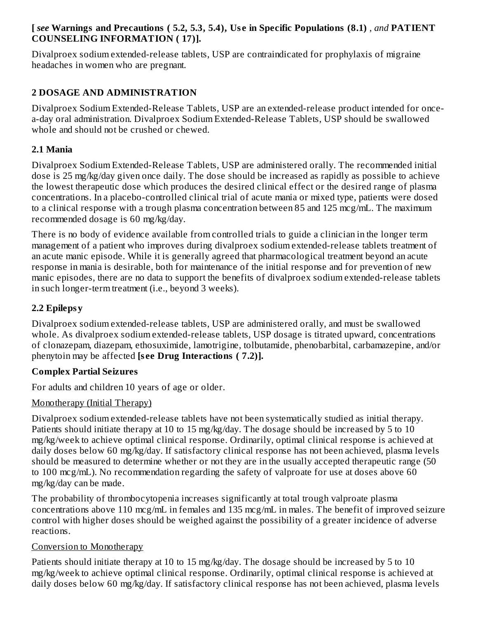#### **[** *see* **Warnings and Precautions ( 5.2, 5.3, 5.4), Us e in Specific Populations (8.1)** *, and* **PATIENT COUNSELING INFORMATION ( 17)].**

Divalproex sodium extended-release tablets, USP are contraindicated for prophylaxis of migraine headaches in women who are pregnant.

### **2 DOSAGE AND ADMINISTRATION**

Divalproex Sodium Extended-Release Tablets, USP are an extended-release product intended for oncea-day oral administration. Divalproex Sodium Extended-Release Tablets, USP should be swallowed whole and should not be crushed or chewed.

### **2.1 Mania**

Divalproex Sodium Extended-Release Tablets, USP are administered orally. The recommended initial dose is 25 mg/kg/day given once daily. The dose should be increased as rapidly as possible to achieve the lowest therapeutic dose which produces the desired clinical effect or the desired range of plasma concentrations. In a placebo-controlled clinical trial of acute mania or mixed type, patients were dosed to a clinical response with a trough plasma concentration between 85 and 125 mcg/mL. The maximum recommended dosage is 60 mg/kg/day.

There is no body of evidence available from controlled trials to guide a clinician in the longer term management of a patient who improves during divalproex sodium extended-release tablets treatment of an acute manic episode. While it is generally agreed that pharmacological treatment beyond an acute response in mania is desirable, both for maintenance of the initial response and for prevention of new manic episodes, there are no data to support the benefits of divalproex sodium extended-release tablets in such longer-term treatment (i.e., beyond 3 weeks).

### **2.2 Epilepsy**

Divalproex sodium extended-release tablets, USP are administered orally, and must be swallowed whole. As divalproex sodium extended-release tablets, USP dosage is titrated upward, concentrations of clonazepam, diazepam, ethosuximide, lamotrigine, tolbutamide, phenobarbital, carbamazepine, and/or phenytoin may be affected **[s ee Drug Interactions ( 7.2)].**

### **Complex Partial Seizures**

For adults and children 10 years of age or older.

### Monotherapy (Initial Therapy)

Divalproex sodium extended-release tablets have not been systematically studied as initial therapy. Patients should initiate therapy at 10 to 15 mg/kg/day. The dosage should be increased by 5 to 10 mg/kg/week to achieve optimal clinical response. Ordinarily, optimal clinical response is achieved at daily doses below 60 mg/kg/day. If satisfactory clinical response has not been achieved, plasma levels should be measured to determine whether or not they are in the usually accepted therapeutic range (50 to 100 mcg/mL). No recommendation regarding the safety of valproate for use at doses above 60 mg/kg/day can be made.

The probability of thrombocytopenia increases significantly at total trough valproate plasma concentrations above 110 mcg/mL in females and 135 mcg/mL in males. The benefit of improved seizure control with higher doses should be weighed against the possibility of a greater incidence of adverse reactions.

### Conversion to Monotherapy

Patients should initiate therapy at 10 to 15 mg/kg/day. The dosage should be increased by 5 to 10 mg/kg/week to achieve optimal clinical response. Ordinarily, optimal clinical response is achieved at daily doses below 60 mg/kg/day. If satisfactory clinical response has not been achieved, plasma levels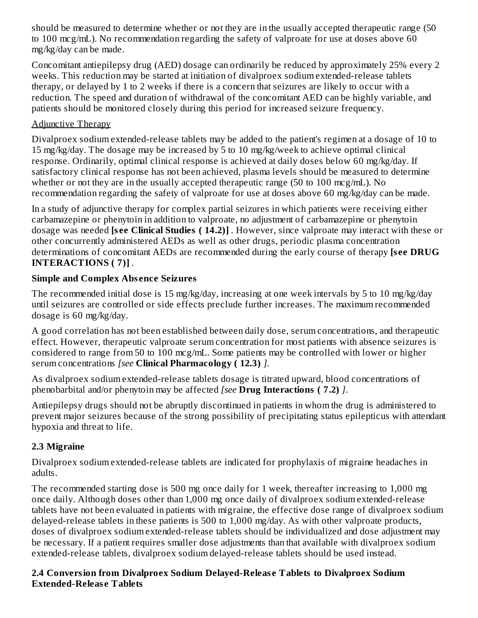should be measured to determine whether or not they are in the usually accepted therapeutic range (50 to 100 mcg/mL). No recommendation regarding the safety of valproate for use at doses above 60 mg/kg/day can be made.

Concomitant antiepilepsy drug (AED) dosage can ordinarily be reduced by approximately 25% every 2 weeks. This reduction may be started at initiation of divalproex sodium extended-release tablets therapy, or delayed by 1 to 2 weeks if there is a concern that seizures are likely to occur with a reduction. The speed and duration of withdrawal of the concomitant AED can be highly variable, and patients should be monitored closely during this period for increased seizure frequency.

### Adjunctive Therapy

Divalproex sodium extended-release tablets may be added to the patient's regimen at a dosage of 10 to 15 mg/kg/day. The dosage may be increased by 5 to 10 mg/kg/week to achieve optimal clinical response. Ordinarily, optimal clinical response is achieved at daily doses below 60 mg/kg/day. If satisfactory clinical response has not been achieved, plasma levels should be measured to determine whether or not they are in the usually accepted therapeutic range (50 to 100 mcg/mL). No recommendation regarding the safety of valproate for use at doses above 60 mg/kg/day can be made.

In a study of adjunctive therapy for complex partial seizures in which patients were receiving either carbamazepine or phenytoin in addition to valproate, no adjustment of carbamazepine or phenytoin dosage was needed **[s ee Clinical Studies ( 14.2)]** *.* However, since valproate may interact with these or other concurrently administered AEDs as well as other drugs, periodic plasma concentration determinations of concomitant AEDs are recommended during the early course of therapy **[s ee DRUG INTERACTIONS ( 7)]** *.*

### **Simple and Complex Abs ence Seizures**

The recommended initial dose is 15 mg/kg/day, increasing at one week intervals by 5 to 10 mg/kg/day until seizures are controlled or side effects preclude further increases. The maximum recommended dosage is 60 mg/kg/day.

A good correlation has not been established between daily dose, serum concentrations, and therapeutic effect. However, therapeutic valproate serum concentration for most patients with absence seizures is considered to range from 50 to 100 mcg/mL. Some patients may be controlled with lower or higher serum concentrations *[see* **Clinical Pharmacology ( 12.3)** *].*

As divalproex sodium extended-release tablets dosage is titrated upward, blood concentrations of phenobarbital and/or phenytoin may be affected *[see* **Drug Interactions ( 7.2)** *]*.

Antiepilepsy drugs should not be abruptly discontinued in patients in whom the drug is administered to prevent major seizures because of the strong possibility of precipitating status epilepticus with attendant hypoxia and threat to life.

### **2.3 Migraine**

Divalproex sodium extended-release tablets are indicated for prophylaxis of migraine headaches in adults.

The recommended starting dose is 500 mg once daily for 1 week, thereafter increasing to 1,000 mg once daily. Although doses other than 1,000 mg once daily of divalproex sodium extended-release tablets have not been evaluated in patients with migraine, the effective dose range of divalproex sodium delayed-release tablets in these patients is 500 to 1,000 mg/day. As with other valproate products, doses of divalproex sodium extended-release tablets should be individualized and dose adjustment may be necessary. If a patient requires smaller dose adjustments than that available with divalproex sodium extended-release tablets, divalproex sodium delayed-release tablets should be used instead.

#### **2.4 Conversion from Divalproex Sodium Delayed-Releas e Tablets to Divalproex Sodium Extended-Releas e Tablets**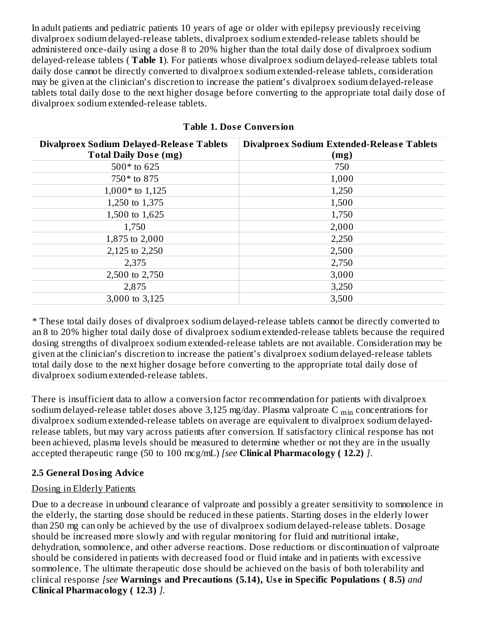In adult patients and pediatric patients 10 years of age or older with epilepsy previously receiving divalproex sodium delayed-release tablets, divalproex sodium extended-release tablets should be administered once-daily using a dose 8 to 20% higher than the total daily dose of divalproex sodium delayed-release tablets ( **Table 1**). For patients whose divalproex sodium delayed-release tablets total daily dose cannot be directly converted to divalproex sodium extended-release tablets, consideration may be given at the clinician's discretion to increase the patient's divalproex sodium delayed-release tablets total daily dose to the next higher dosage before converting to the appropriate total daily dose of divalproex sodium extended-release tablets.

| <b>Divalproex Sodium Delayed-Release Tablets</b> | <b>Divalproex Sodium Extended-Release Tablets</b> |
|--------------------------------------------------|---------------------------------------------------|
| <b>Total Daily Dose (mg)</b>                     | (mg)                                              |
| $500*$ to 625                                    | 750                                               |
| 750* to 875                                      | 1,000                                             |
| $1,000*$ to 1,125                                | 1,250                                             |
| 1,250 to 1,375                                   | 1,500                                             |
| 1,500 to 1,625                                   | 1,750                                             |
| 1,750                                            | 2,000                                             |
| 1,875 to 2,000                                   | 2,250                                             |
| 2,125 to 2,250                                   | 2,500                                             |
| 2,375                                            | 2,750                                             |
| 2,500 to 2,750                                   | 3,000                                             |
| 2,875                                            | 3,250                                             |
| 3,000 to 3,125                                   | 3,500                                             |

|  |  | <b>Table 1. Dose Conversion</b> |
|--|--|---------------------------------|
|--|--|---------------------------------|

\* These total daily doses of divalproex sodium delayed-release tablets cannot be directly converted to an 8 to 20% higher total daily dose of divalproex sodium extended-release tablets because the required dosing strengths of divalproex sodium extended-release tablets are not available. Consideration may be given at the clinician's discretion to increase the patient's divalproex sodium delayed-release tablets total daily dose to the next higher dosage before converting to the appropriate total daily dose of divalproex sodium extended-release tablets.

There is insufficient data to allow a conversion factor recommendation for patients with divalproex sodium delayed-release tablet doses above 3,125 mg/day. Plasma valproate C  $_{\rm min}$  concentrations for divalproex sodium extended-release tablets on average are equivalent to divalproex sodium delayedrelease tablets, but may vary across patients after conversion. If satisfactory clinical response has not been achieved, plasma levels should be measured to determine whether or not they are in the usually accepted therapeutic range (50 to 100 mcg/mL) *[see* **Clinical Pharmacology ( 12.2)** *]*.

### **2.5 General Dosing Advice**

### Dosing in Elderly Patients

Due to a decrease in unbound clearance of valproate and possibly a greater sensitivity to somnolence in the elderly, the starting dose should be reduced in these patients. Starting doses in the elderly lower than 250 mg can only be achieved by the use of divalproex sodium delayed-release tablets. Dosage should be increased more slowly and with regular monitoring for fluid and nutritional intake, dehydration, somnolence, and other adverse reactions. Dose reductions or discontinuation of valproate should be considered in patients with decreased food or fluid intake and in patients with excessive somnolence. The ultimate therapeutic dose should be achieved on the basis of both tolerability and clinical response *[see* **Warnings and Precautions (5.14), Us e in Specific Populations ( 8.5)** *and* **Clinical Pharmacology ( 12.3)** *].*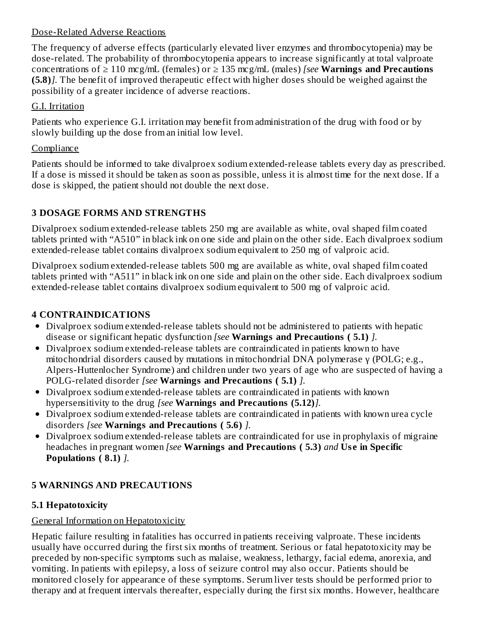#### Dose-Related Adverse Reactions

The frequency of adverse effects (particularly elevated liver enzymes and thrombocytopenia) may be dose-related. The probability of thrombocytopenia appears to increase significantly at total valproate concentrations of ≥ 110 mcg/mL (females) or ≥ 135 mcg/mL (males) *[see* **Warnings and Precautions (5.8)***].* The benefit of improved therapeutic effect with higher doses should be weighed against the possibility of a greater incidence of adverse reactions.

### G.I. Irritation

Patients who experience G.I. irritation may benefit from administration of the drug with food or by slowly building up the dose from an initial low level.

## **Compliance**

Patients should be informed to take divalproex sodium extended-release tablets every day as prescribed. If a dose is missed it should be taken as soon as possible, unless it is almost time for the next dose. If a dose is skipped, the patient should not double the next dose.

## **3 DOSAGE FORMS AND STRENGTHS**

Divalproex sodium extended-release tablets 250 mg are available as white, oval shaped film coated tablets printed with "A510" in black ink on one side and plain on the other side. Each divalproex sodium extended-release tablet contains divalproex sodium equivalent to 250 mg of valproic acid.

Divalproex sodium extended-release tablets 500 mg are available as white, oval shaped film coated tablets printed with "A511" in black ink on one side and plain on the other side. Each divalproex sodium extended-release tablet contains divalproex sodium equivalent to 500 mg of valproic acid.

## **4 CONTRAINDICATIONS**

- Divalproex sodium extended-release tablets should not be administered to patients with hepatic disease or significant hepatic dysfunction *[see* **Warnings and Precautions ( 5.1)** *].*
- Divalproex sodium extended-release tablets are contraindicated in patients known to have mitochondrial disorders caused by mutations in mitochondrial DNA polymerase γ (POLG; e.g., Alpers-Huttenlocher Syndrome) and children under two years of age who are suspected of having a POLG-related disorder *[see* **Warnings and Precautions ( 5.1)** *].*
- Divalproex sodium extended-release tablets are contraindicated in patients with known hypersensitivity to the drug *[see* **Warnings and Precautions (5.12)***].*
- Divalproex sodium extended-release tablets are contraindicated in patients with known urea cycle disorders *[see* **Warnings and Precautions ( 5.6)** *].*
- Divalproex sodium extended-release tablets are contraindicated for use in prophylaxis of migraine headaches in pregnant women *[see* **Warnings and Precautions ( 5.3)** *and* **Us e in Specific Populations ( 8.1)** *].*

## **5 WARNINGS AND PRECAUTIONS**

## **5.1 Hepatotoxicity**

## General Information on Hepatotoxicity

Hepatic failure resulting in fatalities has occurred in patients receiving valproate. These incidents usually have occurred during the first six months of treatment. Serious or fatal hepatotoxicity may be preceded by non-specific symptoms such as malaise, weakness, lethargy, facial edema, anorexia, and vomiting. In patients with epilepsy, a loss of seizure control may also occur. Patients should be monitored closely for appearance of these symptoms. Serum liver tests should be performed prior to therapy and at frequent intervals thereafter, especially during the first six months. However, healthcare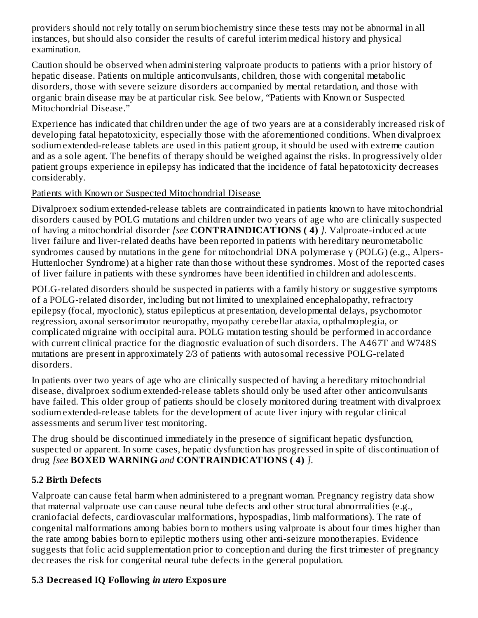providers should not rely totally on serum biochemistry since these tests may not be abnormal in all instances, but should also consider the results of careful interim medical history and physical examination.

Caution should be observed when administering valproate products to patients with a prior history of hepatic disease. Patients on multiple anticonvulsants, children, those with congenital metabolic disorders, those with severe seizure disorders accompanied by mental retardation, and those with organic brain disease may be at particular risk. See below, "Patients with Known or Suspected Mitochondrial Disease."

Experience has indicated that children under the age of two years are at a considerably increased risk of developing fatal hepatotoxicity, especially those with the aforementioned conditions. When divalproex sodium extended-release tablets are used in this patient group, it should be used with extreme caution and as a sole agent. The benefits of therapy should be weighed against the risks. In progressively older patient groups experience in epilepsy has indicated that the incidence of fatal hepatotoxicity decreases considerably.

#### Patients with Known or Suspected Mitochondrial Disease

Divalproex sodium extended-release tablets are contraindicated in patients known to have mitochondrial disorders caused by POLG mutations and children under two years of age who are clinically suspected of having a mitochondrial disorder *[see* **CONTRAINDICATIONS ( 4)** *].* Valproate-induced acute liver failure and liver-related deaths have been reported in patients with hereditary neurometabolic syndromes caused by mutations in the gene for mitochondrial DNA polymerase γ (POLG) (e.g., Alpers-Huttenlocher Syndrome) at a higher rate than those without these syndromes. Most of the reported cases of liver failure in patients with these syndromes have been identified in children and adolescents.

POLG-related disorders should be suspected in patients with a family history or suggestive symptoms of a POLG-related disorder, including but not limited to unexplained encephalopathy, refractory epilepsy (focal, myoclonic), status epilepticus at presentation, developmental delays, psychomotor regression, axonal sensorimotor neuropathy, myopathy cerebellar ataxia, opthalmoplegia, or complicated migraine with occipital aura. POLG mutation testing should be performed in accordance with current clinical practice for the diagnostic evaluation of such disorders. The A467T and W748S mutations are present in approximately 2/3 of patients with autosomal recessive POLG-related disorders.

In patients over two years of age who are clinically suspected of having a hereditary mitochondrial disease, divalproex sodium extended-release tablets should only be used after other anticonvulsants have failed. This older group of patients should be closely monitored during treatment with divalproex sodium extended-release tablets for the development of acute liver injury with regular clinical assessments and serum liver test monitoring.

The drug should be discontinued immediately in the presence of significant hepatic dysfunction, suspected or apparent. In some cases, hepatic dysfunction has progressed in spite of discontinuation of drug *[see* **BOXED WARNING** *and* **CONTRAINDICATIONS ( 4)** *]*.

## **5.2 Birth Defects**

Valproate can cause fetal harm when administered to a pregnant woman. Pregnancy registry data show that maternal valproate use can cause neural tube defects and other structural abnormalities (e.g., craniofacial defects, cardiovascular malformations, hypospadias, limb malformations). The rate of congenital malformations among babies born to mothers using valproate is about four times higher than the rate among babies born to epileptic mothers using other anti-seizure monotherapies. Evidence suggests that folic acid supplementation prior to conception and during the first trimester of pregnancy decreases the risk for congenital neural tube defects in the general population.

### **5.3 Decreas ed IQ Following** *in utero* **Exposure**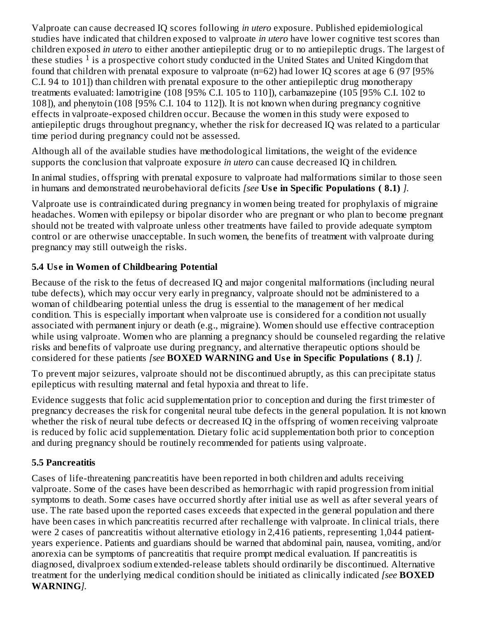Valproate can cause decreased IQ scores following *in utero* exposure. Published epidemiological studies have indicated that children exposed to valproate *in utero* have lower cognitive test scores than children exposed *in utero* to either another antiepileptic drug or to no antiepileptic drugs. The largest of these studies  $1$  is a prospective cohort study conducted in the United States and United Kingdom that found that children with prenatal exposure to valproate (n=62) had lower IQ scores at age 6 (97 [95% C.I. 94 to 101]) than children with prenatal exposure to the other antiepileptic drug monotherapy treatments evaluated: lamotrigine (108 [95% C.I. 105 to 110]), carbamazepine (105 [95% C.I. 102 to 108]), and phenytoin (108 [95% C.I. 104 to 112]). It is not known when during pregnancy cognitive effects in valproate-exposed children occur. Because the women in this study were exposed to antiepileptic drugs throughout pregnancy, whether the risk for decreased IQ was related to a particular time period during pregnancy could not be assessed.

Although all of the available studies have methodological limitations, the weight of the evidence supports the conclusion that valproate exposure *in utero* can cause decreased IQ in children.

In animal studies, offspring with prenatal exposure to valproate had malformations similar to those seen in humans and demonstrated neurobehavioral deficits *[see* **Us e in Specific Populations ( 8.1)** *].*

Valproate use is contraindicated during pregnancy in women being treated for prophylaxis of migraine headaches. Women with epilepsy or bipolar disorder who are pregnant or who plan to become pregnant should not be treated with valproate unless other treatments have failed to provide adequate symptom control or are otherwise unacceptable. In such women, the benefits of treatment with valproate during pregnancy may still outweigh the risks.

### **5.4 Us e in Women of Childbearing Potential**

Because of the risk to the fetus of decreased IQ and major congenital malformations (including neural tube defects), which may occur very early in pregnancy, valproate should not be administered to a woman of childbearing potential unless the drug is essential to the management of her medical condition. This is especially important when valproate use is considered for a condition not usually associated with permanent injury or death (e.g., migraine). Women should use effective contraception while using valproate. Women who are planning a pregnancy should be counseled regarding the relative risks and benefits of valproate use during pregnancy, and alternative therapeutic options should be considered for these patients *[see* **BOXED WARNING and Us e in Specific Populations ( 8.1)** *].*

To prevent major seizures, valproate should not be discontinued abruptly, as this can precipitate status epilepticus with resulting maternal and fetal hypoxia and threat to life.

Evidence suggests that folic acid supplementation prior to conception and during the first trimester of pregnancy decreases the risk for congenital neural tube defects in the general population. It is not known whether the risk of neural tube defects or decreased IQ in the offspring of women receiving valproate is reduced by folic acid supplementation. Dietary folic acid supplementation both prior to conception and during pregnancy should be routinely recommended for patients using valproate.

### **5.5 Pancreatitis**

Cases of life-threatening pancreatitis have been reported in both children and adults receiving valproate. Some of the cases have been described as hemorrhagic with rapid progression from initial symptoms to death. Some cases have occurred shortly after initial use as well as after several years of use. The rate based upon the reported cases exceeds that expected in the general population and there have been cases in which pancreatitis recurred after rechallenge with valproate. In clinical trials, there were 2 cases of pancreatitis without alternative etiology in 2,416 patients, representing 1,044 patientyears experience. Patients and guardians should be warned that abdominal pain, nausea, vomiting, and/or anorexia can be symptoms of pancreatitis that require prompt medical evaluation. If pancreatitis is diagnosed, divalproex sodium extended-release tablets should ordinarily be discontinued. Alternative treatment for the underlying medical condition should be initiated as clinically indicated *[see* **BOXED WARNING***].*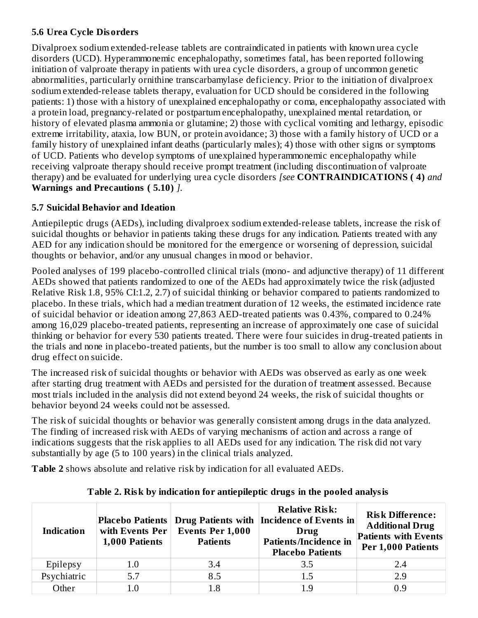#### **5.6 Urea Cycle Disorders**

Divalproex sodium extended-release tablets are contraindicated in patients with known urea cycle disorders (UCD). Hyperammonemic encephalopathy, sometimes fatal, has been reported following initiation of valproate therapy in patients with urea cycle disorders, a group of uncommon genetic abnormalities, particularly ornithine transcarbamylase deficiency. Prior to the initiation of divalproex sodium extended-release tablets therapy, evaluation for UCD should be considered in the following patients: 1) those with a history of unexplained encephalopathy or coma, encephalopathy associated with a protein load, pregnancy-related or postpartum encephalopathy, unexplained mental retardation, or history of elevated plasma ammonia or glutamine; 2) those with cyclical vomiting and lethargy, episodic extreme irritability, ataxia, low BUN, or protein avoidance; 3) those with a family history of UCD or a family history of unexplained infant deaths (particularly males); 4) those with other signs or symptoms of UCD. Patients who develop symptoms of unexplained hyperammonemic encephalopathy while receiving valproate therapy should receive prompt treatment (including discontinuation of valproate therapy) and be evaluated for underlying urea cycle disorders *[see* **CONTRAINDICATIONS ( 4)** *and* **Warnings and Precautions ( 5.10)** *].*

### **5.7 Suicidal Behavior and Ideation**

Antiepileptic drugs (AEDs), including divalproex sodium extended-release tablets, increase the risk of suicidal thoughts or behavior in patients taking these drugs for any indication. Patients treated with any AED for any indication should be monitored for the emergence or worsening of depression, suicidal thoughts or behavior, and/or any unusual changes in mood or behavior.

Pooled analyses of 199 placebo-controlled clinical trials (mono- and adjunctive therapy) of 11 different AEDs showed that patients randomized to one of the AEDs had approximately twice the risk (adjusted Relative Risk 1.8, 95% CI:1.2, 2.7) of suicidal thinking or behavior compared to patients randomized to placebo. In these trials, which had a median treatment duration of 12 weeks, the estimated incidence rate of suicidal behavior or ideation among 27,863 AED-treated patients was 0.43%, compared to 0.24% among 16,029 placebo-treated patients, representing an increase of approximately one case of suicidal thinking or behavior for every 530 patients treated. There were four suicides in drug-treated patients in the trials and none in placebo-treated patients, but the number is too small to allow any conclusion about drug effect on suicide.

The increased risk of suicidal thoughts or behavior with AEDs was observed as early as one week after starting drug treatment with AEDs and persisted for the duration of treatment assessed. Because most trials included in the analysis did not extend beyond 24 weeks, the risk of suicidal thoughts or behavior beyond 24 weeks could not be assessed.

The risk of suicidal thoughts or behavior was generally consistent among drugs in the data analyzed. The finding of increased risk with AEDs of varying mechanisms of action and across a range of indications suggests that the risk applies to all AEDs used for any indication. The risk did not vary substantially by age (5 to 100 years) in the clinical trials analyzed.

**Table 2** shows absolute and relative risk by indication for all evaluated AEDs.

| <b>Indication</b> | with Events Per<br>1,000 Patients | <b>Events Per 1,000</b><br><b>Patients</b> | <b>Relative Risk:</b><br>Placebo Patients   Drug Patients with   Incidence of Events in<br>Drug<br><b>Patients/Incidence in</b><br><b>Placebo Patients</b> | <b>Risk Difference:</b><br><b>Additional Drug</b><br><b>Patients with Events</b><br>Per 1,000 Patients |
|-------------------|-----------------------------------|--------------------------------------------|------------------------------------------------------------------------------------------------------------------------------------------------------------|--------------------------------------------------------------------------------------------------------|
| Epilepsy          | $1.0\,$                           | 3.4                                        | 3.5                                                                                                                                                        | 2.4                                                                                                    |
| Psychiatric       | 5.7                               | 8.5                                        | 1.5                                                                                                                                                        | 2.9                                                                                                    |
| Other             | 1.0                               | 1.8                                        | 1.9                                                                                                                                                        | 0.9                                                                                                    |

**Table 2. Risk by indication for antiepileptic drugs in the pooled analysis**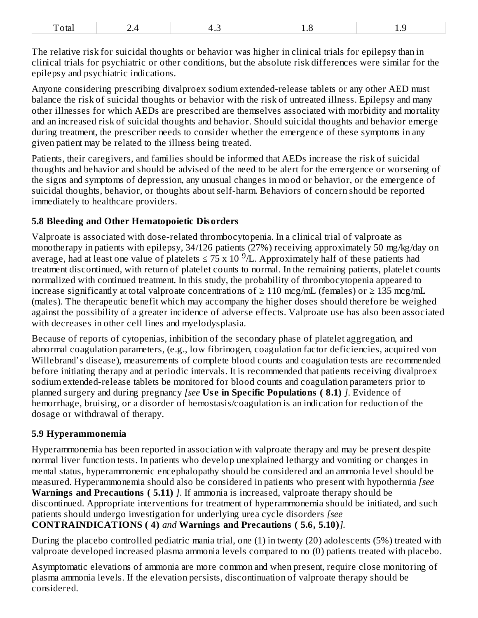| $\blacksquare$<br>$\rightarrow$<br>I Oldi<br>$\bullet$<br>.<br>---<br>$-$ |  |
|---------------------------------------------------------------------------|--|
|---------------------------------------------------------------------------|--|

The relative risk for suicidal thoughts or behavior was higher in clinical trials for epilepsy than in clinical trials for psychiatric or other conditions, but the absolute risk differences were similar for the epilepsy and psychiatric indications.

Anyone considering prescribing divalproex sodium extended-release tablets or any other AED must balance the risk of suicidal thoughts or behavior with the risk of untreated illness. Epilepsy and many other illnesses for which AEDs are prescribed are themselves associated with morbidity and mortality and an increased risk of suicidal thoughts and behavior. Should suicidal thoughts and behavior emerge during treatment, the prescriber needs to consider whether the emergence of these symptoms in any given patient may be related to the illness being treated.

Patients, their caregivers, and families should be informed that AEDs increase the risk of suicidal thoughts and behavior and should be advised of the need to be alert for the emergence or worsening of the signs and symptoms of depression, any unusual changes in mood or behavior, or the emergence of suicidal thoughts, behavior, or thoughts about self-harm. Behaviors of concern should be reported immediately to healthcare providers.

#### **5.8 Bleeding and Other Hematopoietic Disorders**

Valproate is associated with dose-related thrombocytopenia. In a clinical trial of valproate as monotherapy in patients with epilepsy, 34/126 patients (27%) receiving approximately 50 mg/kg/day on average, had at least one value of platelets  $\leq$  75 x 10  $^9$ /L. Approximately half of these patients had treatment discontinued, with return of platelet counts to normal. In the remaining patients, platelet counts normalized with continued treatment. In this study, the probability of thrombocytopenia appeared to increase significantly at total valproate concentrations of  $≥ 110$  mcg/mL (females) or  $≥ 135$  mcg/mL (males). The therapeutic benefit which may accompany the higher doses should therefore be weighed against the possibility of a greater incidence of adverse effects. Valproate use has also been associated with decreases in other cell lines and myelodysplasia.

Because of reports of cytopenias, inhibition of the secondary phase of platelet aggregation, and abnormal coagulation parameters, (e.g., low fibrinogen, coagulation factor deficiencies, acquired von Willebrand's disease), measurements of complete blood counts and coagulation tests are recommended before initiating therapy and at periodic intervals. It is recommended that patients receiving divalproex sodium extended-release tablets be monitored for blood counts and coagulation parameters prior to planned surgery and during pregnancy *[see* **Us e in Specific Populations ( 8.1)** *]*. Evidence of hemorrhage, bruising, or a disorder of hemostasis/coagulation is an indication for reduction of the dosage or withdrawal of therapy.

#### **5.9 Hyperammonemia**

Hyperammonemia has been reported in association with valproate therapy and may be present despite normal liver function tests. In patients who develop unexplained lethargy and vomiting or changes in mental status, hyperammonemic encephalopathy should be considered and an ammonia level should be measured. Hyperammonemia should also be considered in patients who present with hypothermia *[see* **Warnings and Precautions ( 5.11)** *]*. If ammonia is increased, valproate therapy should be discontinued. Appropriate interventions for treatment of hyperammonemia should be initiated, and such patients should undergo investigation for underlying urea cycle disorders *[see* **CONTRAINDICATIONS ( 4)** *and* **Warnings and Precautions ( 5.6, 5.10)***].*

During the placebo controlled pediatric mania trial, one (1) in twenty (20) adolescents (5%) treated with valproate developed increased plasma ammonia levels compared to no (0) patients treated with placebo.

Asymptomatic elevations of ammonia are more common and when present, require close monitoring of plasma ammonia levels. If the elevation persists, discontinuation of valproate therapy should be considered.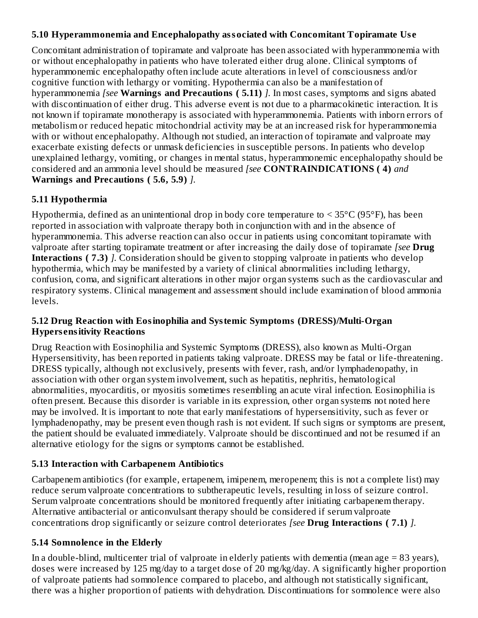#### **5.10 Hyperammonemia and Encephalopathy associated with Concomitant Topiramate Us e**

Concomitant administration of topiramate and valproate has been associated with hyperammonemia with or without encephalopathy in patients who have tolerated either drug alone. Clinical symptoms of hyperammonemic encephalopathy often include acute alterations in level of consciousness and/or cognitive function with lethargy or vomiting. Hypothermia can also be a manifestation of hyperammonemia *[see* **Warnings and Precautions ( 5.11)** *].* In most cases, symptoms and signs abated with discontinuation of either drug. This adverse event is not due to a pharmacokinetic interaction. It is not known if topiramate monotherapy is associated with hyperammonemia. Patients with inborn errors of metabolism or reduced hepatic mitochondrial activity may be at an increased risk for hyperammonemia with or without encephalopathy. Although not studied, an interaction of topiramate and valproate may exacerbate existing defects or unmask deficiencies in susceptible persons. In patients who develop unexplained lethargy, vomiting, or changes in mental status, hyperammonemic encephalopathy should be considered and an ammonia level should be measured *[see* **CONTRAINDICATIONS ( 4)** *and* **Warnings and Precautions ( 5.6, 5.9)** *].*

### **5.11 Hypothermia**

Hypothermia, defined as an unintentional drop in body core temperature to  $\leq 35^{\circ}$ C (95°F), has been reported in association with valproate therapy both in conjunction with and in the absence of hyperammonemia. This adverse reaction can also occur in patients using concomitant topiramate with valproate after starting topiramate treatment or after increasing the daily dose of topiramate *[see* **Drug Interactions ( 7.3)** *].* Consideration should be given to stopping valproate in patients who develop hypothermia, which may be manifested by a variety of clinical abnormalities including lethargy, confusion, coma, and significant alterations in other major organ systems such as the cardiovascular and respiratory systems. Clinical management and assessment should include examination of blood ammonia levels.

#### **5.12 Drug Reaction with Eosinophilia and Systemic Symptoms (DRESS)/Multi-Organ Hypers ensitivity Reactions**

Drug Reaction with Eosinophilia and Systemic Symptoms (DRESS), also known as Multi-Organ Hypersensitivity, has been reported in patients taking valproate. DRESS may be fatal or life-threatening. DRESS typically, although not exclusively, presents with fever, rash, and/or lymphadenopathy, in association with other organ system involvement, such as hepatitis, nephritis, hematological abnormalities, myocarditis, or myositis sometimes resembling an acute viral infection. Eosinophilia is often present. Because this disorder is variable in its expression, other organ systems not noted here may be involved. It is important to note that early manifestations of hypersensitivity, such as fever or lymphadenopathy, may be present even though rash is not evident. If such signs or symptoms are present, the patient should be evaluated immediately. Valproate should be discontinued and not be resumed if an alternative etiology for the signs or symptoms cannot be established.

### **5.13 Interaction with Carbapenem Antibiotics**

Carbapenem antibiotics (for example, ertapenem, imipenem, meropenem; this is not a complete list) may reduce serum valproate concentrations to subtherapeutic levels, resulting in loss of seizure control. Serum valproate concentrations should be monitored frequently after initiating carbapenem therapy. Alternative antibacterial or anticonvulsant therapy should be considered if serum valproate concentrations drop significantly or seizure control deteriorates *[see* **Drug Interactions ( 7.1)** *].*

### **5.14 Somnolence in the Elderly**

In a double-blind, multicenter trial of valproate in elderly patients with dementia (mean age  $= 83$  years), doses were increased by 125 mg/day to a target dose of 20 mg/kg/day. A significantly higher proportion of valproate patients had somnolence compared to placebo, and although not statistically significant, there was a higher proportion of patients with dehydration. Discontinuations for somnolence were also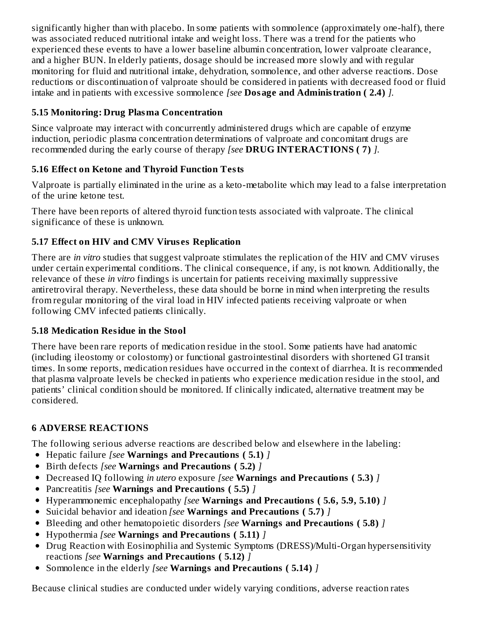significantly higher than with placebo. In some patients with somnolence (approximately one-half), there was associated reduced nutritional intake and weight loss. There was a trend for the patients who experienced these events to have a lower baseline albumin concentration, lower valproate clearance, and a higher BUN. In elderly patients, dosage should be increased more slowly and with regular monitoring for fluid and nutritional intake, dehydration, somnolence, and other adverse reactions. Dose reductions or discontinuation of valproate should be considered in patients with decreased food or fluid intake and in patients with excessive somnolence *[see* **Dosage and Administration ( 2.4)** *].*

### **5.15 Monitoring: Drug Plasma Concentration**

Since valproate may interact with concurrently administered drugs which are capable of enzyme induction, periodic plasma concentration determinations of valproate and concomitant drugs are recommended during the early course of therapy *[see* **DRUG INTERACTIONS ( 7)** *].*

### **5.16 Effect on Ketone and Thyroid Function Tests**

Valproate is partially eliminated in the urine as a keto-metabolite which may lead to a false interpretation of the urine ketone test.

There have been reports of altered thyroid function tests associated with valproate. The clinical significance of these is unknown.

### **5.17 Effect on HIV and CMV Virus es Replication**

There are *in vitro* studies that suggest valproate stimulates the replication of the HIV and CMV viruses under certain experimental conditions. The clinical consequence, if any, is not known. Additionally, the relevance of these *in vitro* findings is uncertain for patients receiving maximally suppressive antiretroviral therapy. Nevertheless, these data should be borne in mind when interpreting the results from regular monitoring of the viral load in HIV infected patients receiving valproate or when following CMV infected patients clinically.

### **5.18 Medication Residue in the Stool**

There have been rare reports of medication residue in the stool. Some patients have had anatomic (including ileostomy or colostomy) or functional gastrointestinal disorders with shortened GI transit times. In some reports, medication residues have occurred in the context of diarrhea. It is recommended that plasma valproate levels be checked in patients who experience medication residue in the stool, and patients' clinical condition should be monitored. If clinically indicated, alternative treatment may be considered.

### **6 ADVERSE REACTIONS**

The following serious adverse reactions are described below and elsewhere in the labeling:

- Hepatic failure *[see* **Warnings and Precautions ( 5.1)** *]*
- Birth defects *[see* **Warnings and Precautions ( 5.2)** *]*
- Decreased IQ following *in utero* exposure *[see* **Warnings and Precautions ( 5.3)** *]*
- Pancreatitis *[see* **Warnings and Precautions ( 5.5)** *]*
- Hyperammonemic encephalopathy *[see* **Warnings and Precautions ( 5.6, 5.9, 5.10)** *]*
- Suicidal behavior and ideation *[see* **Warnings and Precautions ( 5.7)** *]*
- Bleeding and other hematopoietic disorders *[see* **Warnings and Precautions ( 5.8)** *]*
- Hypothermia *[see* **Warnings and Precautions ( 5.11)** *]*
- Drug Reaction with Eosinophilia and Systemic Symptoms (DRESS)/Multi-Organ hypersensitivity reactions *[see* **Warnings and Precautions ( 5.12)** *]*
- Somnolence in the elderly *[see* **Warnings and Precautions ( 5.14)** *]*

Because clinical studies are conducted under widely varying conditions, adverse reaction rates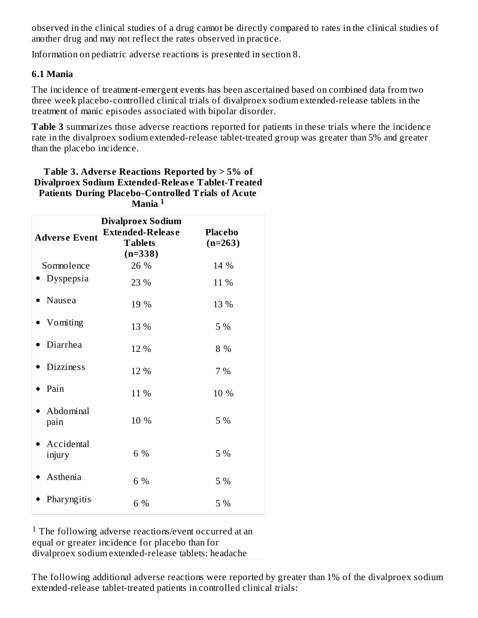observed in the clinical studies of a drug cannot be directly compared to rates in the clinical studies of another drug and may not reflect the rates observed in practice.

Information on pediatric adverse reactions is presented in section 8.

#### **6.1 Mania**

The incidence of treatment-emergent events has been ascertained based on combined data from two three week placebo-controlled clinical trials of divalproex sodium extended-release tablets in the treatment of manic episodes associated with bipolar disorder.

**Table 3** summarizes those adverse reactions reported for patients in these trials where the incidence rate in the divalproex sodium extended-release tablet-treated group was greater than 5% and greater than the placebo incidence.

#### **Table 3. Advers e Reactions Reported by > 5% of Divalproex Sodium Extended-Releas e Tablet-Treated Patients During Placebo-Controlled Trials of Acute Mania 1**

| <b>Adverse Event</b> | <b>Divalproex Sodium</b><br><b>Extended-Release</b><br><b>Tablets</b><br>$(n=338)$ | <b>Placebo</b><br>$(n=263)$ |
|----------------------|------------------------------------------------------------------------------------|-----------------------------|
| Somnolence           | 26 %                                                                               | 14 %                        |
| Dyspepsia            | 23 %                                                                               | 11 %                        |
| Nausea               | 19 %                                                                               | 13 %                        |
| Vomiting             | 13 %                                                                               | 5 %                         |
| Diarrhea             | 12 %                                                                               | 8 %                         |
| <b>Dizziness</b>     | 12 %                                                                               | 7%                          |
| Pain                 | 11 %                                                                               | 10 %                        |
| Abdominal<br>pain    | 10 %                                                                               | 5 %                         |
| Accidental<br>injury | 6 %                                                                                | 5 %                         |
| Asthenia             | 6 %                                                                                | 5 %                         |
| Pharyngitis          | 6 %                                                                                | 5 %                         |

 $1$  The following adverse reactions/event occurred at an equal or greater incidence for placebo than for divalproex sodium extended-release tablets: headache

The following additional adverse reactions were reported by greater than 1% of the divalproex sodium extended-release tablet-treated patients in controlled clinical trials: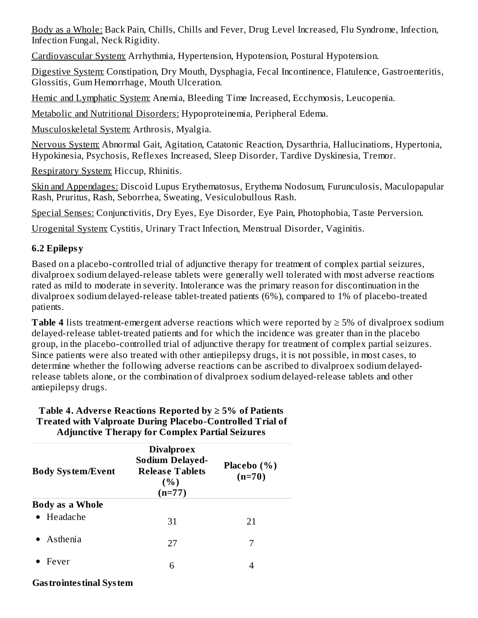Body as a Whole: Back Pain, Chills, Chills and Fever, Drug Level Increased, Flu Syndrome, Infection, Infection Fungal, Neck Rigidity.

Cardiovascular System: Arrhythmia, Hypertension, Hypotension, Postural Hypotension.

Digestive System: Constipation, Dry Mouth, Dysphagia, Fecal Incontinence, Flatulence, Gastroenteritis, Glossitis, Gum Hemorrhage, Mouth Ulceration.

Hemic and Lymphatic System: Anemia, Bleeding Time Increased, Ecchymosis, Leucopenia.

Metabolic and Nutritional Disorders: Hypoproteinemia, Peripheral Edema.

Musculoskeletal System: Arthrosis, Myalgia.

Nervous System: Abnormal Gait, Agitation, Catatonic Reaction, Dysarthria, Hallucinations, Hypertonia, Hypokinesia, Psychosis, Reflexes Increased, Sleep Disorder, Tardive Dyskinesia, Tremor.

Respiratory System: Hiccup, Rhinitis.

Skin and Appendages: Discoid Lupus Erythematosus, Erythema Nodosum, Furunculosis, Maculopapular Rash, Pruritus, Rash, Seborrhea, Sweating, Vesiculobullous Rash.

Special Senses: Conjunctivitis, Dry Eyes, Eye Disorder, Eye Pain, Photophobia, Taste Perversion.

Urogenital System: Cystitis, Urinary Tract Infection, Menstrual Disorder, Vaginitis.

## **6.2 Epilepsy**

Based on a placebo-controlled trial of adjunctive therapy for treatment of complex partial seizures, divalproex sodium delayed-release tablets were generally well tolerated with most adverse reactions rated as mild to moderate in severity. Intolerance was the primary reason for discontinuation in the divalproex sodium delayed-release tablet-treated patients (6%), compared to 1% of placebo-treated patients.

**Table 4** lists treatment-emergent adverse reactions which were reported by ≥ 5% of divalproex sodium delayed-release tablet-treated patients and for which the incidence was greater than in the placebo group, in the placebo-controlled trial of adjunctive therapy for treatment of complex partial seizures. Since patients were also treated with other antiepilepsy drugs, it is not possible, in most cases, to determine whether the following adverse reactions can be ascribed to divalproex sodium delayedrelease tablets alone, or the combination of divalproex sodium delayed-release tablets and other antiepilepsy drugs.

| Aqjuncuve 1 nerapy for Complex Partial Seizures |                                                                                           |                         |
|-------------------------------------------------|-------------------------------------------------------------------------------------------|-------------------------|
| <b>Body System/Event</b>                        | <b>Divalproex</b><br><b>Sodium Delayed-</b><br><b>Release Tablets</b><br>(% )<br>$(n=77)$ | Placebo (%)<br>$(n=70)$ |
| <b>Body as a Whole</b>                          |                                                                                           |                         |
| $\bullet$ Headache                              | 31                                                                                        | 21                      |
| $\bullet$ Asthenia                              | 27                                                                                        | 7                       |
| Fever                                           | 6                                                                                         |                         |

#### **Table 4.** Adverse Reactions Reported by  $\geq 5\%$  of Patients **Treated with Valproate During Placebo-Controlled Trial of Adjunctive Therapy for Complex Partial Seizures**

#### **Gastrointestinal System**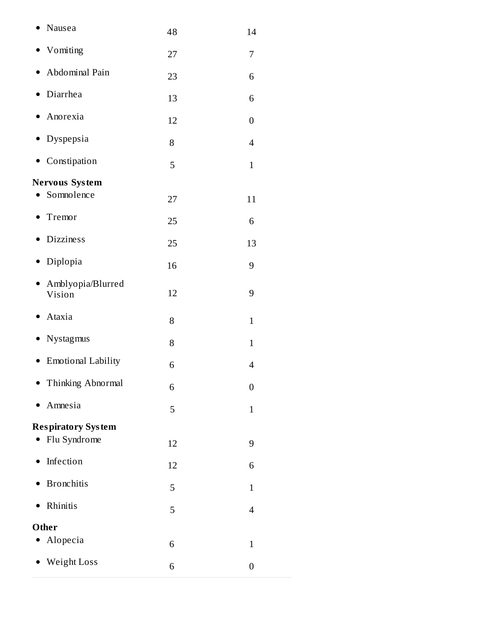| Nausea                                   | 48 | 14               |
|------------------------------------------|----|------------------|
| Vomiting                                 | 27 | 7                |
| Abdominal Pain                           | 23 | 6                |
| Diarrhea                                 | 13 | 6                |
| Anorexia                                 | 12 | $\boldsymbol{0}$ |
| Dyspepsia                                | 8  | $\overline{4}$   |
| Constipation                             | 5  | $\mathbf{1}$     |
| Nervous System                           |    |                  |
| Somnolence                               | 27 | 11               |
| Tremor                                   | 25 | 6                |
| <b>Dizziness</b>                         | 25 | 13               |
| Diplopia<br>$\bullet$                    | 16 | 9                |
| Amblyopia/Blurred<br>$\bullet$<br>Vision | 12 | 9                |
| Ataxia<br>٠                              | 8  | $\mathbf{1}$     |
| Nystagmus                                | 8  | $\mathbf{1}$     |
| <b>Emotional Lability</b>                | 6  | 4                |
| Thinking Abnormal                        | 6  | 0                |
| Amnesia                                  | 5  | $\mathbf{1}$     |
| <b>Respiratory System</b>                |    |                  |
| Flu Syndrome                             | 12 | 9                |
| Infection                                | 12 | 6                |
| <b>Bronchitis</b>                        | 5  | $\mathbf{1}$     |
| Rhinitis                                 | 5  | $\overline{4}$   |
| Other                                    |    |                  |
| Alopecia                                 | 6  | $\mathbf{1}$     |
| Weight Loss                              | 6  | 0                |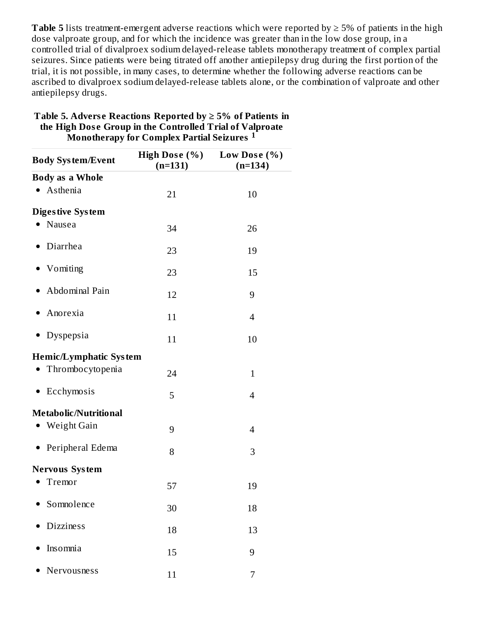**Table 5** lists treatment-emergent adverse reactions which were reported by  $\geq$  5% of patients in the high dose valproate group, and for which the incidence was greater than in the low dose group, in a controlled trial of divalproex sodium delayed-release tablets monotherapy treatment of complex partial seizures. Since patients were being titrated off another antiepilepsy drug during the first portion of the trial, it is not possible, in many cases, to determine whether the following adverse reactions can be ascribed to divalproex sodium delayed-release tablets alone, or the combination of valproate and other antiepilepsy drugs.

| <b>Body System/Event</b>      | High Dose (%)<br>$(n=131)$ | Low Dose $(\%)$<br>$(n=134)$ |
|-------------------------------|----------------------------|------------------------------|
| <b>Body as a Whole</b>        |                            |                              |
| Asthenia                      | 21                         | 10                           |
| <b>Digestive System</b>       |                            |                              |
| Nausea                        | 34                         | 26                           |
| Diarrhea                      | 23                         | 19                           |
| Vomiting                      | 23                         | 15                           |
| Abdominal Pain                | 12                         | 9                            |
| Anorexia                      | 11                         | 4                            |
| Dyspepsia                     | 11                         | 10                           |
| <b>Hemic/Lymphatic System</b> |                            |                              |
| Thrombocytopenia              | 24                         | $\mathbf{1}$                 |
| Ecchymosis<br>$\bullet$       | 5                          | 4                            |
| Metabolic/Nutritional         |                            |                              |
| • Weight Gain                 | 9                          | 4                            |
| Peripheral Edema<br>$\bullet$ | 8                          | 3                            |
| <b>Nervous System</b>         |                            |                              |
| Tremor                        | 57                         | 19                           |
| Somnolence                    | 30                         | 18                           |
| <b>Dizziness</b>              | 18                         | 13                           |
| Insomnia                      | 15                         | 9                            |
| Nervousness                   | 11                         | 7                            |

#### **Table 5. Advers e Reactions Reported by ≥ 5% of Patients in the High Dos e Group in the Controlled Trial of Valproate Monotherapy for Complex Partial Seizures 1**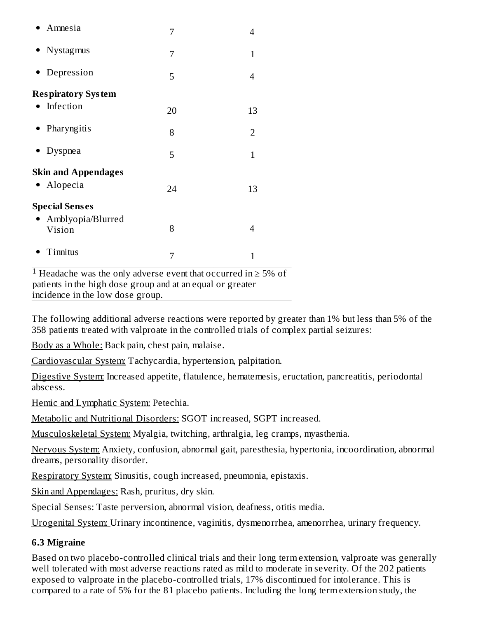| Amnesia                                                                  | 7  | 4              |
|--------------------------------------------------------------------------|----|----------------|
| Nystagmus                                                                | 7  | 1              |
| Depression                                                               | 5  | 4              |
| <b>Respiratory System</b>                                                |    |                |
| Infection                                                                | 20 | 13             |
| • Pharyngitis                                                            | 8  | $\overline{2}$ |
| Dyspnea                                                                  | 5  | $\mathbf{1}$   |
| <b>Skin and Appendages</b><br>Alopecia                                   | 24 | 13             |
| <b>Special Senses</b>                                                    |    |                |
| Amblyopia/Blurred<br>Vision                                              | 8  | 4              |
| Tinnitus                                                                 | 7  | $\mathbf{1}$   |
| <sup>1</sup> Headache was the only adverse event that occurred in $>$ 5% |    |                |

 $h$ ache was the only adverse event that occurred in  $\geq 5\%$  of patients in the high dose group and at an equal or greater incidence in the low dose group.

The following additional adverse reactions were reported by greater than 1% but less than 5% of the 358 patients treated with valproate in the controlled trials of complex partial seizures:

Body as a Whole: Back pain, chest pain, malaise.

Cardiovascular System: Tachycardia, hypertension, palpitation.

Digestive System: Increased appetite, flatulence, hematemesis, eructation, pancreatitis, periodontal abscess.

Hemic and Lymphatic System: Petechia.

Metabolic and Nutritional Disorders: SGOT increased, SGPT increased.

Musculoskeletal System: Myalgia, twitching, arthralgia, leg cramps, myasthenia.

Nervous System: Anxiety, confusion, abnormal gait, paresthesia, hypertonia, incoordination, abnormal dreams, personality disorder.

Respiratory System: Sinusitis, cough increased, pneumonia, epistaxis.

Skin and Appendages: Rash, pruritus, dry skin.

Special Senses: Taste perversion, abnormal vision, deafness, otitis media.

Urogenital System: Urinary incontinence, vaginitis, dysmenorrhea, amenorrhea, urinary frequency.

### **6.3 Migraine**

Based on two placebo-controlled clinical trials and their long term extension, valproate was generally well tolerated with most adverse reactions rated as mild to moderate in severity. Of the 202 patients exposed to valproate in the placebo-controlled trials, 17% discontinued for intolerance. This is compared to a rate of 5% for the 81 placebo patients. Including the long term extension study, the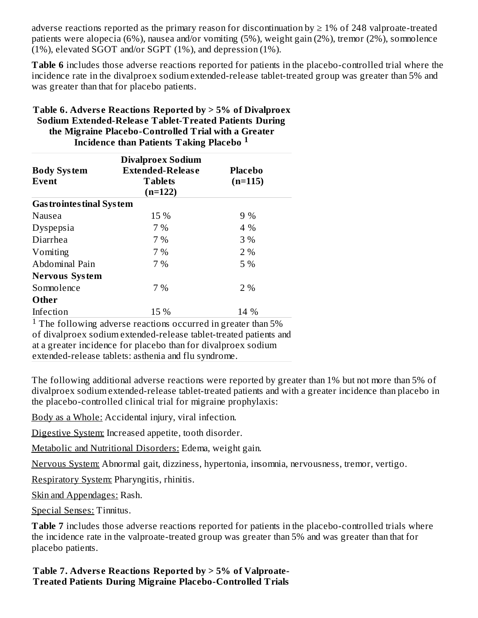adverse reactions reported as the primary reason for discontinuation by  $\geq 1\%$  of 248 valproate-treated patients were alopecia (6%), nausea and/or vomiting (5%), weight gain (2%), tremor (2%), somnolence (1%), elevated SGOT and/or SGPT (1%), and depression (1%).

**Table 6** includes those adverse reactions reported for patients in the placebo-controlled trial where the incidence rate in the divalproex sodium extended-release tablet-treated group was greater than 5% and was greater than that for placebo patients.

| the Migraine Placebo-Controlled Trial with a Greater<br><b>Incidence than Patients Taking Placebo</b> 1 |                                                                                    |                             |  |
|---------------------------------------------------------------------------------------------------------|------------------------------------------------------------------------------------|-----------------------------|--|
| <b>Body System</b><br>Event                                                                             | <b>Divalproex Sodium</b><br><b>Extended-Release</b><br><b>Tablets</b><br>$(n=122)$ | <b>Placebo</b><br>$(n=115)$ |  |
| <b>Gas trointes tinal System</b>                                                                        |                                                                                    |                             |  |
| Nausea                                                                                                  | 15 %                                                                               | 9%                          |  |
| Dyspepsia                                                                                               | 7 %                                                                                | 4 %                         |  |
| Diarrhea                                                                                                | 7%                                                                                 | 3 %                         |  |
| Vomiting                                                                                                | 7 %                                                                                | 2%                          |  |
| Abdominal Pain                                                                                          | 7%                                                                                 | 5 %                         |  |
| <b>Nervous System</b>                                                                                   |                                                                                    |                             |  |
| Somnolence                                                                                              | 7 %                                                                                | 2%                          |  |
| Other                                                                                                   |                                                                                    |                             |  |
| Infection                                                                                               | 15 %                                                                               | 14 %                        |  |

**Table 6. Advers e Reactions Reported by > 5% of Divalproex Sodium Extended-Releas e Tablet-Treated Patients During the Migraine Placebo-Controlled Trial with a Greater**

<sup>1</sup> The following adverse reactions occurred in greater than  $5\%$ of divalproex sodium extended-release tablet-treated patients and at a greater incidence for placebo than for divalproex sodium extended-release tablets: asthenia and flu syndrome.

The following additional adverse reactions were reported by greater than 1% but not more than 5% of divalproex sodium extended-release tablet-treated patients and with a greater incidence than placebo in the placebo-controlled clinical trial for migraine prophylaxis:

Body as a Whole: Accidental injury, viral infection.

Digestive System: Increased appetite, tooth disorder.

Metabolic and Nutritional Disorders: Edema, weight gain.

Nervous System: Abnormal gait, dizziness, hypertonia, insomnia, nervousness, tremor, vertigo.

Respiratory System: Pharyngitis, rhinitis.

Skin and Appendages: Rash.

Special Senses: Tinnitus.

**Table 7** includes those adverse reactions reported for patients in the placebo-controlled trials where the incidence rate in the valproate-treated group was greater than 5% and was greater than that for placebo patients.

**Table 7. Advers e Reactions Reported by > 5% of Valproate-Treated Patients During Migraine Placebo-Controlled Trials**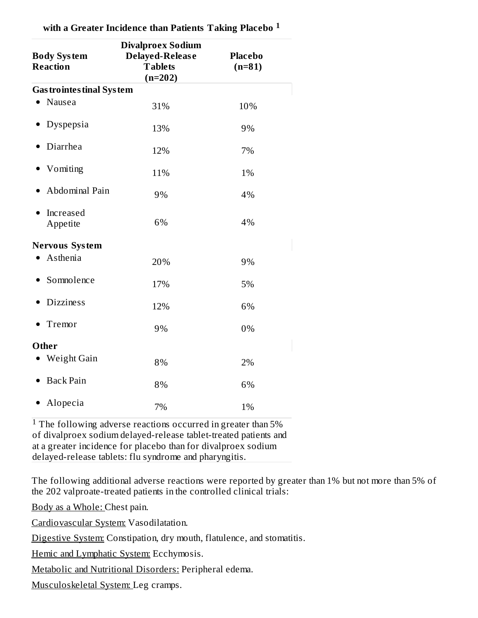| <b>Body System</b><br><b>Reaction</b> | <b>Divalproex Sodium</b><br>Delayed-Release<br><b>Tablets</b><br>$(n=202)$ | <b>Placebo</b><br>$(n=81)$ |  |
|---------------------------------------|----------------------------------------------------------------------------|----------------------------|--|
| <b>Gas trointes tinal System</b>      |                                                                            |                            |  |
| Nausea                                | 31%                                                                        | 10%                        |  |
| Dyspepsia                             | 13%                                                                        | 9%                         |  |
| Diarrhea                              | 12%                                                                        | 7%                         |  |
| Vomiting                              | 11%                                                                        | 1%                         |  |
| Abdominal Pain                        | 9%                                                                         | 4%                         |  |
| Increased<br>Appetite                 | 6%                                                                         | 4%                         |  |
| Nervous System                        |                                                                            |                            |  |
| Asthenia                              | 20%                                                                        | 9%                         |  |
| Somnolence                            | 17%                                                                        | 5%                         |  |
| <b>Dizziness</b>                      | 12%                                                                        | 6%                         |  |
| Tremor                                | 9%                                                                         | 0%                         |  |
| Other                                 |                                                                            |                            |  |
| Weight Gain                           | 8%                                                                         | 2%                         |  |
| <b>Back Pain</b>                      | 8%                                                                         | 6%                         |  |
| • Alopecia                            | 7%                                                                         | 1%                         |  |

**with a Greater Incidence than Patients Taking Placebo 1**

<sup>1</sup> The following adverse reactions occurred in greater than  $5\%$ of divalproex sodium delayed-release tablet-treated patients and at a greater incidence for placebo than for divalproex sodium delayed-release tablets: flu syndrome and pharyngitis.

The following additional adverse reactions were reported by greater than 1% but not more than 5% of the 202 valproate-treated patients in the controlled clinical trials:

Body as a Whole: Chest pain.

Cardiovascular System: Vasodilatation.

Digestive System: Constipation, dry mouth, flatulence, and stomatitis.

Hemic and Lymphatic System: Ecchymosis.

Metabolic and Nutritional Disorders: Peripheral edema.

Musculoskeletal System: Leg cramps.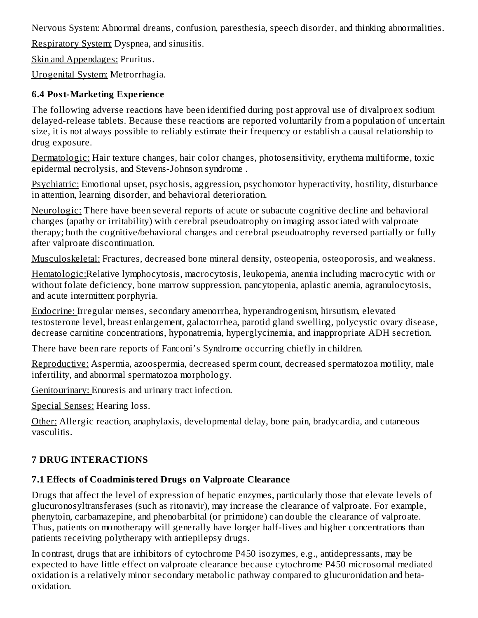Nervous System: Abnormal dreams, confusion, paresthesia, speech disorder, and thinking abnormalities.

Respiratory System: Dyspnea, and sinusitis.

Skin and Appendages: Pruritus.

Urogenital System: Metrorrhagia.

### **6.4 Post-Marketing Experience**

The following adverse reactions have been identified during post approval use of divalproex sodium delayed-release tablets. Because these reactions are reported voluntarily from a population of uncertain size, it is not always possible to reliably estimate their frequency or establish a causal relationship to drug exposure.

Dermatologic: Hair texture changes, hair color changes, photosensitivity, erythema multiforme, toxic epidermal necrolysis, and Stevens-Johnson syndrome *.*

Psychiatric: Emotional upset, psychosis, aggression, psychomotor hyperactivity, hostility, disturbance in attention, learning disorder, and behavioral deterioration.

Neurologic: There have been several reports of acute or subacute cognitive decline and behavioral changes (apathy or irritability) with cerebral pseudoatrophy on imaging associated with valproate therapy; both the cognitive/behavioral changes and cerebral pseudoatrophy reversed partially or fully after valproate discontinuation.

Musculoskeletal: Fractures, decreased bone mineral density, osteopenia, osteoporosis, and weakness.

Hematologic:Relative lymphocytosis, macrocytosis, leukopenia, anemia including macrocytic with or without folate deficiency, bone marrow suppression, pancytopenia, aplastic anemia, agranulocytosis, and acute intermittent porphyria.

Endocrine: Irregular menses, secondary amenorrhea, hyperandrogenism, hirsutism, elevated testosterone level, breast enlargement, galactorrhea, parotid gland swelling, polycystic ovary disease, decrease carnitine concentrations, hyponatremia, hyperglycinemia, and inappropriate ADH secretion.

There have been rare reports of Fanconi's Syndrome occurring chiefly in children.

Reproductive: Aspermia, azoospermia, decreased sperm count, decreased spermatozoa motility, male infertility, and abnormal spermatozoa morphology.

Genitourinary: Enuresis and urinary tract infection.

Special Senses: Hearing loss.

Other: Allergic reaction, anaphylaxis, developmental delay, bone pain, bradycardia, and cutaneous vasculitis.

## **7 DRUG INTERACTIONS**

## **7.1 Effects of Coadministered Drugs on Valproate Clearance**

Drugs that affect the level of expression of hepatic enzymes, particularly those that elevate levels of glucuronosyltransferases (such as ritonavir), may increase the clearance of valproate. For example, phenytoin, carbamazepine, and phenobarbital (or primidone) can double the clearance of valproate. Thus, patients on monotherapy will generally have longer half-lives and higher concentrations than patients receiving polytherapy with antiepilepsy drugs.

In contrast, drugs that are inhibitors of cytochrome P450 isozymes, e.g., antidepressants, may be expected to have little effect on valproate clearance because cytochrome P450 microsomal mediated oxidation is a relatively minor secondary metabolic pathway compared to glucuronidation and betaoxidation.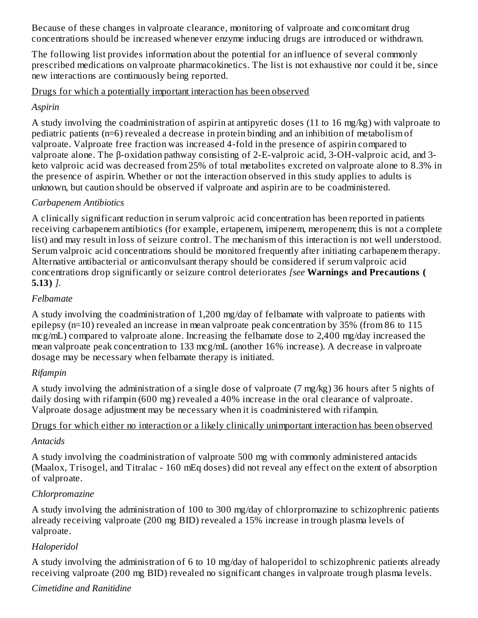Because of these changes in valproate clearance, monitoring of valproate and concomitant drug concentrations should be increased whenever enzyme inducing drugs are introduced or withdrawn.

The following list provides information about the potential for an influence of several commonly prescribed medications on valproate pharmacokinetics. The list is not exhaustive nor could it be, since new interactions are continuously being reported.

Drugs for which a potentially important interaction has been observed

#### *Aspirin*

A study involving the coadministration of aspirin at antipyretic doses (11 to 16 mg/kg) with valproate to pediatric patients (n=6) revealed a decrease in protein binding and an inhibition of metabolism of valproate. Valproate free fraction was increased 4-fold in the presence of aspirin compared to valproate alone. The β-oxidation pathway consisting of 2-E-valproic acid, 3-OH-valproic acid, and 3 keto valproic acid was decreased from 25% of total metabolites excreted on valproate alone to 8.3% in the presence of aspirin. Whether or not the interaction observed in this study applies to adults is unknown, but caution should be observed if valproate and aspirin are to be coadministered.

### *Carbapenem Antibiotics*

A clinically significant reduction in serum valproic acid concentration has been reported in patients receiving carbapenem antibiotics (for example, ertapenem, imipenem, meropenem; this is not a complete list) and may result in loss of seizure control. The mechanism of this interaction is not well understood. Serum valproic acid concentrations should be monitored frequently after initiating carbapenem therapy. Alternative antibacterial or anticonvulsant therapy should be considered if serum valproic acid concentrations drop significantly or seizure control deteriorates *[see* **Warnings and Precautions ( 5.13)** *].*

#### *Felbamate*

A study involving the coadministration of 1,200 mg/day of felbamate with valproate to patients with epilepsy (n=10) revealed an increase in mean valproate peak concentration by 35% (from 86 to 115 mcg/mL) compared to valproate alone. Increasing the felbamate dose to 2,400 mg/day increased the mean valproate peak concentration to 133 mcg/mL (another 16% increase). A decrease in valproate dosage may be necessary when felbamate therapy is initiated.

### *Rifampin*

A study involving the administration of a single dose of valproate (7 mg/kg) 36 hours after 5 nights of daily dosing with rifampin (600 mg) revealed a 40% increase in the oral clearance of valproate. Valproate dosage adjustment may be necessary when it is coadministered with rifampin.

#### Drugs for which either no interaction or a likely clinically unimportant interaction has been observed

#### *Antacids*

A study involving the coadministration of valproate 500 mg with commonly administered antacids (Maalox, Trisogel, and Titralac - 160 mEq doses) did not reveal any effect on the extent of absorption of valproate.

### *Chlorpromazine*

A study involving the administration of 100 to 300 mg/day of chlorpromazine to schizophrenic patients already receiving valproate (200 mg BID) revealed a 15% increase in trough plasma levels of valproate.

#### *Haloperidol*

A study involving the administration of 6 to 10 mg/day of haloperidol to schizophrenic patients already receiving valproate (200 mg BID) revealed no significant changes in valproate trough plasma levels.

#### *Cimetidine and Ranitidine*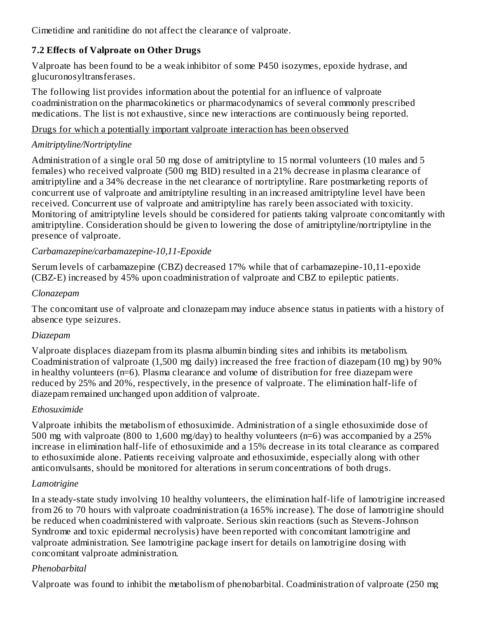Cimetidine and ranitidine do not affect the clearance of valproate.

### **7.2 Effects of Valproate on Other Drugs**

Valproate has been found to be a weak inhibitor of some P450 isozymes, epoxide hydrase, and glucuronosyltransferases.

The following list provides information about the potential for an influence of valproate coadministration on the pharmacokinetics or pharmacodynamics of several commonly prescribed medications. The list is not exhaustive, since new interactions are continuously being reported.

#### Drugs for which a potentially important valproate interaction has been observed

## *Amitriptyline/Nortriptyline*

Administration of a single oral 50 mg dose of amitriptyline to 15 normal volunteers (10 males and 5 females) who received valproate (500 mg BID) resulted in a 21% decrease in plasma clearance of amitriptyline and a 34% decrease in the net clearance of nortriptyline. Rare postmarketing reports of concurrent use of valproate and amitriptyline resulting in an increased amitriptyline level have been received. Concurrent use of valproate and amitriptyline has rarely been associated with toxicity. Monitoring of amitriptyline levels should be considered for patients taking valproate concomitantly with amitriptyline. Consideration should be given to lowering the dose of amitriptyline/nortriptyline in the presence of valproate.

### *Carbamazepine/carbamazepine-10,11-Epoxide*

Serum levels of carbamazepine (CBZ) decreased 17% while that of carbamazepine-10,11-epoxide (CBZ-E) increased by 45% upon coadministration of valproate and CBZ to epileptic patients.

### *Clonazepam*

The concomitant use of valproate and clonazepam may induce absence status in patients with a history of absence type seizures.

### *Diazepam*

Valproate displaces diazepam from its plasma albumin binding sites and inhibits its metabolism. Coadministration of valproate (1,500 mg daily) increased the free fraction of diazepam (10 mg) by 90% in healthy volunteers (n=6). Plasma clearance and volume of distribution for free diazepam were reduced by 25% and 20%, respectively, in the presence of valproate. The elimination half-life of diazepam remained unchanged upon addition of valproate.

## *Ethosuximide*

Valproate inhibits the metabolism of ethosuximide. Administration of a single ethosuximide dose of 500 mg with valproate (800 to 1,600 mg/day) to healthy volunteers (n=6) was accompanied by a 25% increase in elimination half-life of ethosuximide and a 15% decrease in its total clearance as compared to ethosuximide alone. Patients receiving valproate and ethosuximide, especially along with other anticonvulsants, should be monitored for alterations in serum concentrations of both drugs.

### *Lamotrigine*

In a steady-state study involving 10 healthy volunteers, the elimination half-life of lamotrigine increased from 26 to 70 hours with valproate coadministration (a 165% increase). The dose of lamotrigine should be reduced when coadministered with valproate. Serious skin reactions (such as Stevens-Johnson Syndrome and toxic epidermal necrolysis) have been reported with concomitant lamotrigine and valproate administration. See lamotrigine package insert for details on lamotrigine dosing with concomitant valproate administration.

### *Phenobarbital*

Valproate was found to inhibit the metabolism of phenobarbital. Coadministration of valproate (250 mg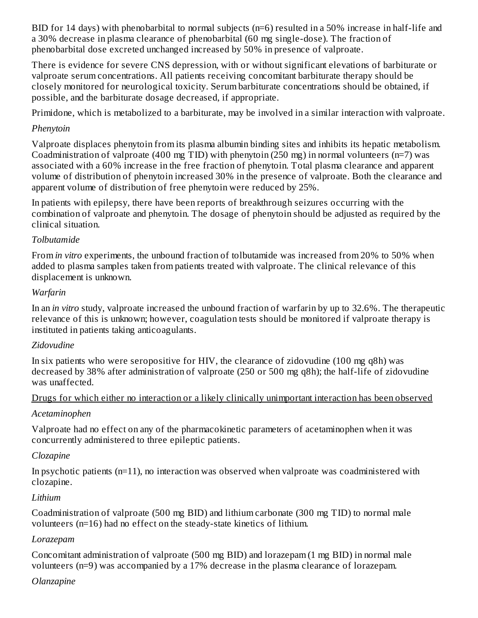BID for 14 days) with phenobarbital to normal subjects (n=6) resulted in a 50% increase in half-life and a 30% decrease in plasma clearance of phenobarbital (60 mg single-dose). The fraction of phenobarbital dose excreted unchanged increased by 50% in presence of valproate.

There is evidence for severe CNS depression, with or without significant elevations of barbiturate or valproate serum concentrations. All patients receiving concomitant barbiturate therapy should be closely monitored for neurological toxicity. Serum barbiturate concentrations should be obtained, if possible, and the barbiturate dosage decreased, if appropriate.

Primidone, which is metabolized to a barbiturate, may be involved in a similar interaction with valproate.

### *Phenytoin*

Valproate displaces phenytoin from its plasma albumin binding sites and inhibits its hepatic metabolism. Coadministration of valproate (400 mg TID) with phenytoin (250 mg) in normal volunteers (n=7) was associated with a 60% increase in the free fraction of phenytoin. Total plasma clearance and apparent volume of distribution of phenytoin increased 30% in the presence of valproate. Both the clearance and apparent volume of distribution of free phenytoin were reduced by 25%.

In patients with epilepsy, there have been reports of breakthrough seizures occurring with the combination of valproate and phenytoin. The dosage of phenytoin should be adjusted as required by the clinical situation.

### *Tolbutamide*

From *in vitro* experiments, the unbound fraction of tolbutamide was increased from 20% to 50% when added to plasma samples taken from patients treated with valproate. The clinical relevance of this displacement is unknown.

### *Warfarin*

In an *in vitro* study, valproate increased the unbound fraction of warfarin by up to 32.6%. The therapeutic relevance of this is unknown; however, coagulation tests should be monitored if valproate therapy is instituted in patients taking anticoagulants.

## *Zidovudine*

In six patients who were seropositive for HIV, the clearance of zidovudine (100 mg q8h) was decreased by 38% after administration of valproate (250 or 500 mg q8h); the half-life of zidovudine was unaffected.

### Drugs for which either no interaction or a likely clinically unimportant interaction has been observed

### *Acetaminophen*

Valproate had no effect on any of the pharmacokinetic parameters of acetaminophen when it was concurrently administered to three epileptic patients.

### *Clozapine*

In psychotic patients (n=11), no interaction was observed when valproate was coadministered with clozapine.

### *Lithium*

Coadministration of valproate (500 mg BID) and lithium carbonate (300 mg TID) to normal male volunteers (n=16) had no effect on the steady-state kinetics of lithium.

### *Lorazepam*

Concomitant administration of valproate (500 mg BID) and lorazepam (1 mg BID) in normal male volunteers (n=9) was accompanied by a 17% decrease in the plasma clearance of lorazepam.

## *Olanzapine*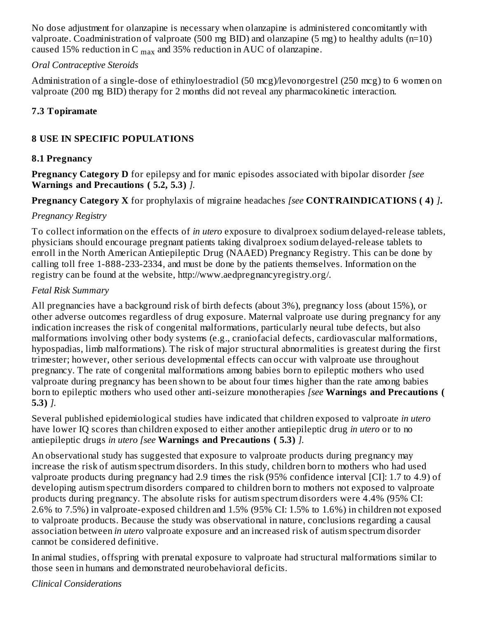No dose adjustment for olanzapine is necessary when olanzapine is administered concomitantly with valproate. Coadministration of valproate (500 mg BID) and olanzapine (5 mg) to healthy adults (n=10) caused 15% reduction in C  $_{\rm max}$  and 35% reduction in AUC of olanzapine.

#### *Oral Contraceptive Steroids*

Administration of a single-dose of ethinyloestradiol (50 mcg)/levonorgestrel (250 mcg) to 6 women on valproate (200 mg BID) therapy for 2 months did not reveal any pharmacokinetic interaction.

### **7.3 Topiramate**

#### **8 USE IN SPECIFIC POPULATIONS**

#### **8.1 Pregnancy**

**Pregnancy Category D** for epilepsy and for manic episodes associated with bipolar disorder *[see* **Warnings and Precautions ( 5.2, 5.3)** *].*

**Pregnancy Category X** for prophylaxis of migraine headaches *[see* **CONTRAINDICATIONS ( 4)** *]***.**

#### *Pregnancy Registry*

To collect information on the effects of *in utero* exposure to divalproex sodium delayed-release tablets, physicians should encourage pregnant patients taking divalproex sodium delayed-release tablets to enroll in the North American Antiepileptic Drug (NAAED) Pregnancy Registry. This can be done by calling toll free 1-888-233-2334, and must be done by the patients themselves. Information on the registry can be found at the website, http://www.aedpregnancyregistry.org/.

#### *Fetal Risk Summary*

All pregnancies have a background risk of birth defects (about 3%), pregnancy loss (about 15%), or other adverse outcomes regardless of drug exposure. Maternal valproate use during pregnancy for any indication increases the risk of congenital malformations, particularly neural tube defects, but also malformations involving other body systems (e.g., craniofacial defects, cardiovascular malformations, hypospadias, limb malformations). The risk of major structural abnormalities is greatest during the first trimester; however, other serious developmental effects can occur with valproate use throughout pregnancy. The rate of congenital malformations among babies born to epileptic mothers who used valproate during pregnancy has been shown to be about four times higher than the rate among babies born to epileptic mothers who used other anti-seizure monotherapies *[see* **Warnings and Precautions ( 5.3)** *].*

Several published epidemiological studies have indicated that children exposed to valproate *in utero* have lower IQ scores than children exposed to either another antiepileptic drug *in utero* or to no antiepileptic drugs *in utero [see* **Warnings and Precautions ( 5.3)** *].*

An observational study has suggested that exposure to valproate products during pregnancy may increase the risk of autism spectrum disorders. In this study, children born to mothers who had used valproate products during pregnancy had 2.9 times the risk (95% confidence interval [CI]: 1.7 to 4.9) of developing autism spectrum disorders compared to children born to mothers not exposed to valproate products during pregnancy. The absolute risks for autism spectrum disorders were 4.4% (95% CI: 2.6% to 7.5%) in valproate-exposed children and 1.5% (95% CI: 1.5% to 1.6%) in children not exposed to valproate products. Because the study was observational in nature, conclusions regarding a causal association between *in utero* valproate exposure and an increased risk of autism spectrum disorder cannot be considered definitive.

In animal studies, offspring with prenatal exposure to valproate had structural malformations similar to those seen in humans and demonstrated neurobehavioral deficits.

*Clinical Considerations*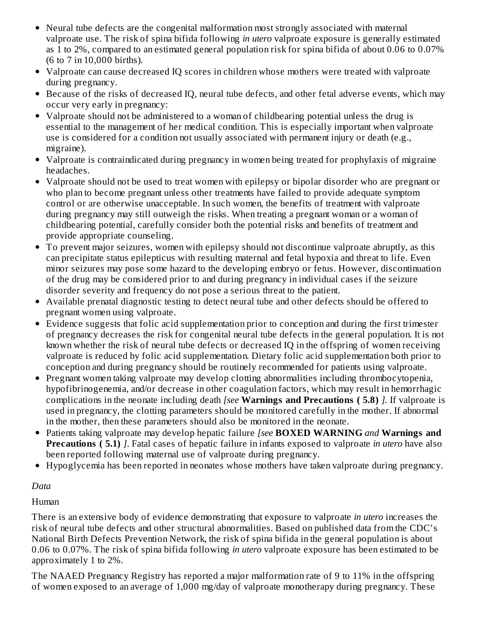- Neural tube defects are the congenital malformation most strongly associated with maternal valproate use. The risk of spina bifida following *in utero* valproate exposure is generally estimated as 1 to 2%, compared to an estimated general population risk for spina bifida of about 0.06 to 0.07% (6 to 7 in 10,000 births).
- Valproate can cause decreased IQ scores in children whose mothers were treated with valproate during pregnancy.
- Because of the risks of decreased IQ, neural tube defects, and other fetal adverse events, which may occur very early in pregnancy:
- Valproate should not be administered to a woman of childbearing potential unless the drug is essential to the management of her medical condition. This is especially important when valproate use is considered for a condition not usually associated with permanent injury or death (e.g., migraine).
- Valproate is contraindicated during pregnancy in women being treated for prophylaxis of migraine headaches.
- Valproate should not be used to treat women with epilepsy or bipolar disorder who are pregnant or who plan to become pregnant unless other treatments have failed to provide adequate symptom control or are otherwise unacceptable. In such women, the benefits of treatment with valproate during pregnancy may still outweigh the risks. When treating a pregnant woman or a woman of childbearing potential, carefully consider both the potential risks and benefits of treatment and provide appropriate counseling.
- To prevent major seizures, women with epilepsy should not discontinue valproate abruptly, as this can precipitate status epilepticus with resulting maternal and fetal hypoxia and threat to life. Even minor seizures may pose some hazard to the developing embryo or fetus. However, discontinuation of the drug may be considered prior to and during pregnancy in individual cases if the seizure disorder severity and frequency do not pose a serious threat to the patient.
- Available prenatal diagnostic testing to detect neural tube and other defects should be offered to pregnant women using valproate.
- Evidence suggests that folic acid supplementation prior to conception and during the first trimester of pregnancy decreases the risk for congenital neural tube defects in the general population. It is not known whether the risk of neural tube defects or decreased IQ in the offspring of women receiving valproate is reduced by folic acid supplementation. Dietary folic acid supplementation both prior to conception and during pregnancy should be routinely recommended for patients using valproate.
- Pregnant women taking valproate may develop clotting abnormalities including thrombocytopenia, hypofibrinogenemia, and/or decrease in other coagulation factors, which may result in hemorrhagic complications in the neonate including death *[see* **Warnings and Precautions ( 5.8)** *].* If valproate is used in pregnancy, the clotting parameters should be monitored carefully in the mother. If abnormal in the mother, then these parameters should also be monitored in the neonate.
- Patients taking valproate may develop hepatic failure *[see* **BOXED WARNING** *and* **Warnings and Precautions ( 5.1)** *]*. Fatal cases of hepatic failure in infants exposed to valproate *in utero* have also been reported following maternal use of valproate during pregnancy.
- Hypoglycemia has been reported in neonates whose mothers have taken valproate during pregnancy.

#### *Data*

Human

There is an extensive body of evidence demonstrating that exposure to valproate *in utero* increases the risk of neural tube defects and other structural abnormalities. Based on published data from the CDC's National Birth Defects Prevention Network, the risk of spina bifida in the general population is about 0.06 to 0.07%. The risk of spina bifida following *in utero* valproate exposure has been estimated to be approximately 1 to 2%.

The NAAED Pregnancy Registry has reported a major malformation rate of 9 to 11% in the offspring of women exposed to an average of 1,000 mg/day of valproate monotherapy during pregnancy. These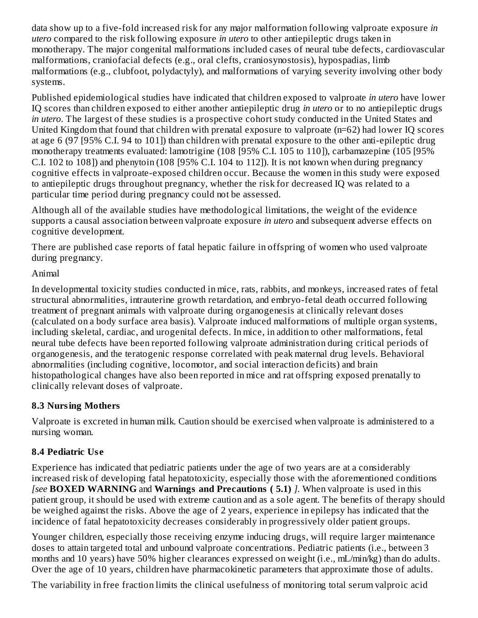data show up to a five-fold increased risk for any major malformation following valproate exposure *in utero* compared to the risk following exposure *in utero* to other antiepileptic drugs taken in monotherapy. The major congenital malformations included cases of neural tube defects, cardiovascular malformations, craniofacial defects (e.g., oral clefts, craniosynostosis), hypospadias, limb malformations (e.g., clubfoot, polydactyly), and malformations of varying severity involving other body systems.

Published epidemiological studies have indicated that children exposed to valproate *in utero* have lower IQ scores than children exposed to either another antiepileptic drug *in utero* or to no antiepileptic drugs *in utero*. The largest of these studies is a prospective cohort study conducted in the United States and United Kingdom that found that children with prenatal exposure to valproate (n=62) had lower IQ scores at age 6 (97 [95% C.I. 94 to 101]) than children with prenatal exposure to the other anti-epileptic drug monotherapy treatments evaluated: lamotrigine (108 [95% C.I. 105 to 110]), carbamazepine (105 [95% C.I. 102 to 108]) and phenytoin (108 [95% C.I. 104 to 112]). It is not known when during pregnancy cognitive effects in valproate-exposed children occur. Because the women in this study were exposed to antiepileptic drugs throughout pregnancy, whether the risk for decreased IQ was related to a particular time period during pregnancy could not be assessed.

Although all of the available studies have methodological limitations, the weight of the evidence supports a causal association between valproate exposure *in utero* and subsequent adverse effects on cognitive development.

There are published case reports of fatal hepatic failure in offspring of women who used valproate during pregnancy.

### Animal

In developmental toxicity studies conducted in mice, rats, rabbits, and monkeys, increased rates of fetal structural abnormalities, intrauterine growth retardation, and embryo-fetal death occurred following treatment of pregnant animals with valproate during organogenesis at clinically relevant doses (calculated on a body surface area basis). Valproate induced malformations of multiple organ systems, including skeletal, cardiac, and urogenital defects. In mice, in addition to other malformations, fetal neural tube defects have been reported following valproate administration during critical periods of organogenesis, and the teratogenic response correlated with peak maternal drug levels. Behavioral abnormalities (including cognitive, locomotor, and social interaction deficits) and brain histopathological changes have also been reported in mice and rat offspring exposed prenatally to clinically relevant doses of valproate.

### **8.3 Nursing Mothers**

Valproate is excreted in human milk. Caution should be exercised when valproate is administered to a nursing woman.

### **8.4 Pediatric Us e**

Experience has indicated that pediatric patients under the age of two years are at a considerably increased risk of developing fatal hepatotoxicity, especially those with the aforementioned conditions *[see* **BOXED WARNING** and **Warnings and Precautions ( 5.1)** *].* When valproate is used in this patient group, it should be used with extreme caution and as a sole agent. The benefits of therapy should be weighed against the risks. Above the age of 2 years, experience in epilepsy has indicated that the incidence of fatal hepatotoxicity decreases considerably in progressively older patient groups.

Younger children, especially those receiving enzyme inducing drugs, will require larger maintenance doses to attain targeted total and unbound valproate concentrations. Pediatric patients (i.e., between 3 months and 10 years) have 50% higher clearances expressed on weight (i.e., mL/min/kg) than do adults. Over the age of 10 years, children have pharmacokinetic parameters that approximate those of adults.

The variability in free fraction limits the clinical usefulness of monitoring total serum valproic acid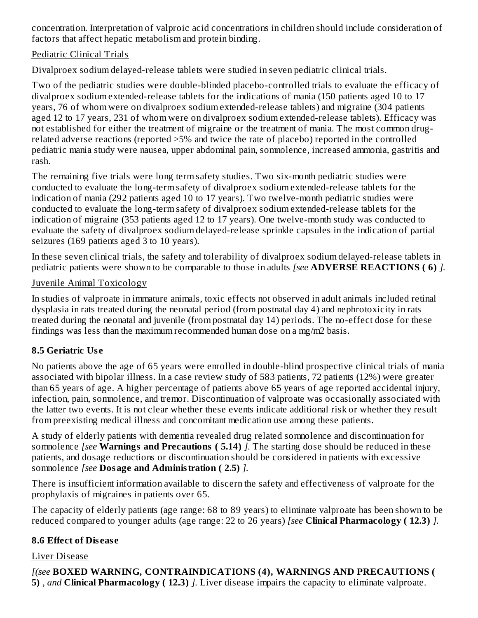concentration. Interpretation of valproic acid concentrations in children should include consideration of factors that affect hepatic metabolism and protein binding.

#### Pediatric Clinical Trials

Divalproex sodium delayed-release tablets were studied in seven pediatric clinical trials.

Two of the pediatric studies were double-blinded placebo-controlled trials to evaluate the efficacy of divalproex sodium extended-release tablets for the indications of mania (150 patients aged 10 to 17 years, 76 of whom were on divalproex sodium extended-release tablets) and migraine (304 patients aged 12 to 17 years, 231 of whom were on divalproex sodium extended-release tablets). Efficacy was not established for either the treatment of migraine or the treatment of mania. The most common drugrelated adverse reactions (reported >5% and twice the rate of placebo) reported in the controlled pediatric mania study were nausea, upper abdominal pain, somnolence, increased ammonia, gastritis and rash.

The remaining five trials were long term safety studies. Two six-month pediatric studies were conducted to evaluate the long-term safety of divalproex sodium extended-release tablets for the indication of mania (292 patients aged 10 to 17 years). Two twelve-month pediatric studies were conducted to evaluate the long-term safety of divalproex sodium extended-release tablets for the indication of migraine (353 patients aged 12 to 17 years). One twelve-month study was conducted to evaluate the safety of divalproex sodium delayed-release sprinkle capsules in the indication of partial seizures (169 patients aged 3 to 10 years).

In these seven clinical trials, the safety and tolerability of divalproex sodium delayed-release tablets in pediatric patients were shown to be comparable to those in adults *[see* **ADVERSE REACTIONS ( 6)** *].*

#### Juvenile Animal Toxicology

In studies of valproate in immature animals, toxic effects not observed in adult animals included retinal dysplasia in rats treated during the neonatal period (from postnatal day 4) and nephrotoxicity in rats treated during the neonatal and juvenile (from postnatal day 14) periods. The no-effect dose for these findings was less than the maximum recommended human dose on a mg/m2 basis.

### **8.5 Geriatric Us e**

No patients above the age of 65 years were enrolled in double-blind prospective clinical trials of mania associated with bipolar illness. In a case review study of 583 patients, 72 patients (12%) were greater than 65 years of age. A higher percentage of patients above 65 years of age reported accidental injury, infection, pain, somnolence, and tremor. Discontinuation of valproate was occasionally associated with the latter two events. It is not clear whether these events indicate additional risk or whether they result from preexisting medical illness and concomitant medication use among these patients.

A study of elderly patients with dementia revealed drug related somnolence and discontinuation for somnolence *[see* **Warnings and Precautions ( 5.14)** *].* The starting dose should be reduced in these patients, and dosage reductions or discontinuation should be considered in patients with excessive somnolence *[see* **Dosage and Administration ( 2.5)** *].*

There is insufficient information available to discern the safety and effectiveness of valproate for the prophylaxis of migraines in patients over 65.

The capacity of elderly patients (age range: 68 to 89 years) to eliminate valproate has been shown to be reduced compared to younger adults (age range: 22 to 26 years) *[see* **Clinical Pharmacology ( 12.3)** *].*

### **8.6 Effect of Dis eas e**

### Liver Disease

*[(see* **BOXED WARNING, CONTRAINDICATIONS (4), WARNINGS AND PRECAUTIONS ( 5)** *, and* **Clinical Pharmacology ( 12.3)** *].* Liver disease impairs the capacity to eliminate valproate.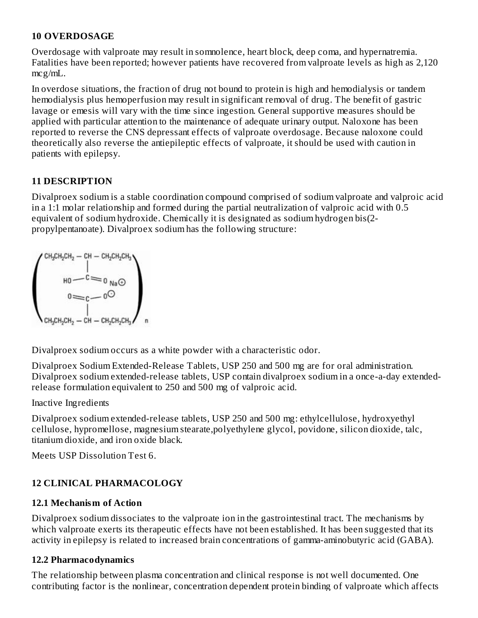#### **10 OVERDOSAGE**

Overdosage with valproate may result in somnolence, heart block, deep coma, and hypernatremia. Fatalities have been reported; however patients have recovered from valproate levels as high as 2,120 mcg/mL.

In overdose situations, the fraction of drug not bound to protein is high and hemodialysis or tandem hemodialysis plus hemoperfusion may result in significant removal of drug. The benefit of gastric lavage or emesis will vary with the time since ingestion. General supportive measures should be applied with particular attention to the maintenance of adequate urinary output. Naloxone has been reported to reverse the CNS depressant effects of valproate overdosage. Because naloxone could theoretically also reverse the antiepileptic effects of valproate, it should be used with caution in patients with epilepsy.

### **11 DESCRIPTION**

Divalproex sodium is a stable coordination compound comprised of sodium valproate and valproic acid in a 1:1 molar relationship and formed during the partial neutralization of valproic acid with 0.5 equivalent of sodium hydroxide. Chemically it is designated as sodium hydrogen bis(2 propylpentanoate). Divalproex sodium has the following structure:

$$
\begin{pmatrix}CH_3CH_2CH_2-CH-CH_2CH_2CH_3\\ \vdots\\ H0-C=O\\ 0\\ \vdots\\ CH_3CH_2CH_2-CH-CH_2CH_2CH_3\end{pmatrix}
$$

Divalproex sodium occurs as a white powder with a characteristic odor.

Divalproex Sodium Extended-Release Tablets, USP 250 and 500 mg are for oral administration. Divalproex sodium extended-release tablets, USP contain divalproex sodium in a once-a-day extendedrelease formulation equivalent to 250 and 500 mg of valproic acid.

Inactive Ingredients

Divalproex sodium extended-release tablets, USP 250 and 500 mg: ethylcellulose, hydroxyethyl cellulose, hypromellose, magnesium stearate,polyethylene glycol, povidone, silicon dioxide, talc, titanium dioxide, and iron oxide black.

Meets USP Dissolution Test 6.

## **12 CLINICAL PHARMACOLOGY**

### **12.1 Mechanism of Action**

Divalproex sodium dissociates to the valproate ion in the gastrointestinal tract. The mechanisms by which valproate exerts its therapeutic effects have not been established. It has been suggested that its activity in epilepsy is related to increased brain concentrations of gamma-aminobutyric acid (GABA).

### **12.2 Pharmacodynamics**

The relationship between plasma concentration and clinical response is not well documented. One contributing factor is the nonlinear, concentration dependent protein binding of valproate which affects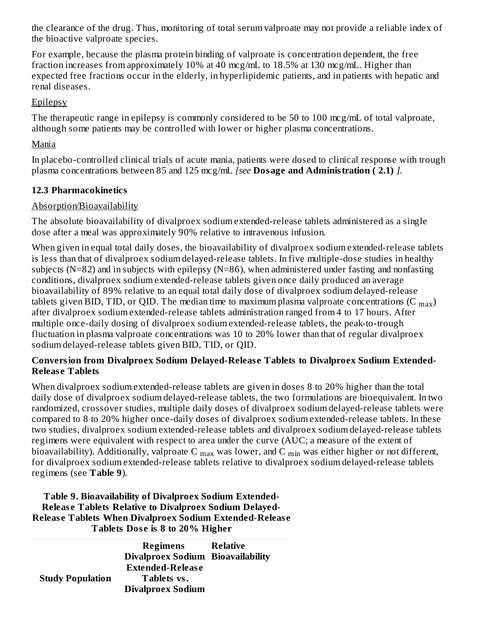the clearance of the drug. Thus, monitoring of total serum valproate may not provide a reliable index of the bioactive valproate species.

For example, because the plasma protein binding of valproate is concentration dependent, the free fraction increases from approximately 10% at 40 mcg/mL to 18.5% at 130 mcg/mL. Higher than expected free fractions occur in the elderly, in hyperlipidemic patients, and in patients with hepatic and renal diseases.

#### **Epilepsy**

The therapeutic range in epilepsy is commonly considered to be 50 to 100 mcg/mL of total valproate, although some patients may be controlled with lower or higher plasma concentrations.

#### Mania

In placebo-controlled clinical trials of acute mania, patients were dosed to clinical response with trough plasma concentrations between 85 and 125 mcg/mL *[see* **Dosage and Administration ( 2.1)** *].*

#### **12.3 Pharmacokinetics**

#### Absorption/Bioavailability

The absolute bioavailability of divalproex sodium extended-release tablets administered as a single dose after a meal was approximately 90% relative to intravenous infusion.

When given in equal total daily doses, the bioavailability of divalproex sodium extended-release tablets is less than that of divalproex sodium delayed-release tablets. In five multiple-dose studies in healthy subjects ( $N=82$ ) and in subjects with epilepsy ( $N=86$ ), when administered under fasting and nonfasting conditions, divalproex sodium extended-release tablets given once daily produced an average bioavailability of 89% relative to an equal total daily dose of divalproex sodium delayed-release tablets given BID, TID, or QID. The median time to maximum plasma valproate concentrations (C  $_{\rm max}$ ) after divalproex sodium extended-release tablets administration ranged from 4 to 17 hours. After multiple once-daily dosing of divalproex sodium extended-release tablets, the peak-to-trough fluctuation in plasma valproate concentrations was 10 to 20% lower than that of regular divalproex sodium delayed-release tablets given BID, TID, or QID.

#### **Conversion from Divalproex Sodium Delayed-Releas e Tablets to Divalproex Sodium Extended-Releas e Tablets**

When divalproex sodium extended-release tablets are given in doses 8 to 20% higher than the total daily dose of divalproex sodium delayed-release tablets, the two formulations are bioequivalent. In two randomized, crossover studies, multiple daily doses of divalproex sodium delayed-release tablets were compared to 8 to 20% higher once-daily doses of divalproex sodium extended-release tablets. In these two studies, divalproex sodium extended-release tablets and divalproex sodium delayed-release tablets regimens were equivalent with respect to area under the curve (AUC; a measure of the extent of bioavailability). Additionally, valproate C  $_{\rm max}$  was lower, and C  $_{\rm min}$  was either higher or not different, for divalproex sodium extended-release tablets relative to divalproex sodium delayed-release tablets regimens (see **Table 9**).

**Table 9. Bioavailability of Divalproex Sodium Extended-Releas e Tablets Relative to Divalproex Sodium Delayed-Releas e Tablets When Divalproex Sodium Extended-Releas e Tablets Dos e is 8 to 20% Higher**

|                         | Regimens<br>Divalproex Sodium Bioavailability | Relative |
|-------------------------|-----------------------------------------------|----------|
|                         | <b>Extended-Release</b>                       |          |
| <b>Study Population</b> | Tablets vs.                                   |          |
|                         | <b>Divalproex Sodium</b>                      |          |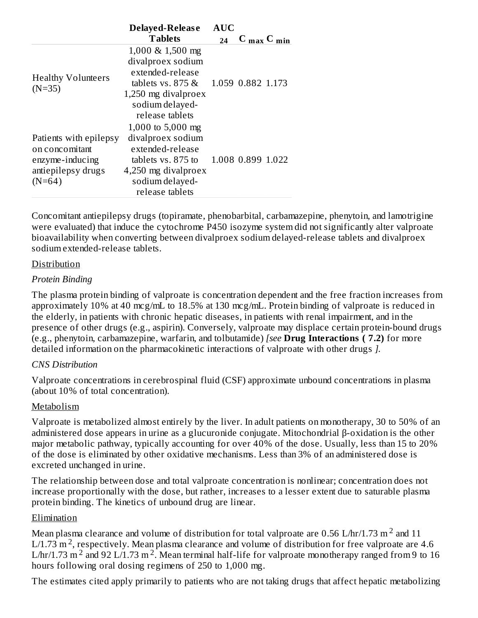|                                                                                               | Delayed-Release                                                                                                                                           | <b>AUC</b> |                                 |  |
|-----------------------------------------------------------------------------------------------|-----------------------------------------------------------------------------------------------------------------------------------------------------------|------------|---------------------------------|--|
|                                                                                               | <b>Tablets</b>                                                                                                                                            | 24         | $C_{\text{max}} C_{\text{min}}$ |  |
| <b>Healthy Volunteers</b><br>$(N=35)$                                                         | $1,000 \& 1,500 \text{ mg}$<br>divalproex sodium<br>extended-release<br>tablets vs. $875 \&$<br>1,250 mg divalproex<br>sodium delayed-<br>release tablets |            | 1.059 0.882 1.173               |  |
| Patients with epilepsy<br>on concomitant<br>enzyme-inducing<br>antiepilepsy drugs<br>$(N=64)$ | 1,000 to 5,000 mg<br>divalproex sodium<br>extended-release<br>tablets vs. 875 to<br>4,250 mg divalproex<br>sodium delayed-<br>release tablets             |            | 1.008 0.899 1.022               |  |

Concomitant antiepilepsy drugs (topiramate, phenobarbital, carbamazepine, phenytoin, and lamotrigine were evaluated) that induce the cytochrome P450 isozyme system did not significantly alter valproate bioavailability when converting between divalproex sodium delayed-release tablets and divalproex sodium extended-release tablets.

#### Distribution

#### *Protein Binding*

The plasma protein binding of valproate is concentration dependent and the free fraction increases from approximately 10% at 40 mcg/mL to 18.5% at 130 mcg/mL. Protein binding of valproate is reduced in the elderly, in patients with chronic hepatic diseases, in patients with renal impairment, and in the presence of other drugs (e.g., aspirin). Conversely, valproate may displace certain protein-bound drugs (e.g., phenytoin, carbamazepine, warfarin, and tolbutamide) *[see* **Drug Interactions ( 7.2)** for more detailed information on the pharmacokinetic interactions of valproate with other drugs *].*

#### *CNS Distribution*

Valproate concentrations in cerebrospinal fluid (CSF) approximate unbound concentrations in plasma (about 10% of total concentration).

#### Metabolism

Valproate is metabolized almost entirely by the liver. In adult patients on monotherapy, 30 to 50% of an administered dose appears in urine as a glucuronide conjugate. Mitochondrial β-oxidation is the other major metabolic pathway, typically accounting for over 40% of the dose. Usually, less than 15 to 20% of the dose is eliminated by other oxidative mechanisms. Less than 3% of an administered dose is excreted unchanged in urine.

The relationship between dose and total valproate concentration is nonlinear; concentration does not increase proportionally with the dose, but rather, increases to a lesser extent due to saturable plasma protein binding. The kinetics of unbound drug are linear.

#### Elimination

Mean plasma clearance and volume of distribution for total valproate are 0.56 L/hr/1.73 m  $^2$  and 11 L/1.73 m<sup>2</sup>, respectively. Mean plasma clearance and volume of distribution for free valproate are 4.6 L/hr/1.73 m<sup>2</sup> and 92 L/1.73 m<sup>2</sup>. Mean terminal half-life for valproate monotherapy ranged from 9 to 16 hours following oral dosing regimens of 250 to 1,000 mg.

The estimates cited apply primarily to patients who are not taking drugs that affect hepatic metabolizing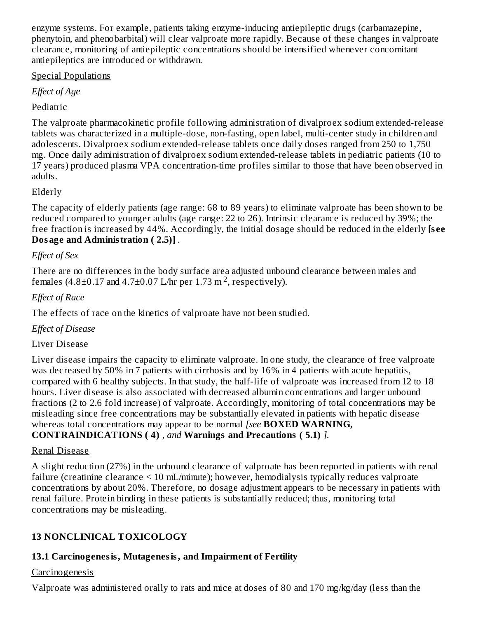enzyme systems. For example, patients taking enzyme-inducing antiepileptic drugs (carbamazepine, phenytoin, and phenobarbital) will clear valproate more rapidly. Because of these changes in valproate clearance, monitoring of antiepileptic concentrations should be intensified whenever concomitant antiepileptics are introduced or withdrawn.

#### Special Populations

*Effect of Age*

### Pediatric

The valproate pharmacokinetic profile following administration of divalproex sodium extended-release tablets was characterized in a multiple-dose, non-fasting, open label, multi-center study in children and adolescents. Divalproex sodium extended-release tablets once daily doses ranged from 250 to 1,750 mg. Once daily administration of divalproex sodium extended-release tablets in pediatric patients (10 to 17 years) produced plasma VPA concentration-time profiles similar to those that have been observed in adults.

### Elderly

The capacity of elderly patients (age range: 68 to 89 years) to eliminate valproate has been shown to be reduced compared to younger adults (age range: 22 to 26). Intrinsic clearance is reduced by 39%; the free fraction is increased by 44%. Accordingly, the initial dosage should be reduced in the elderly **[s ee Dosage and Administration ( 2.5)]** *.*

### *Effect of Sex*

There are no differences in the body surface area adjusted unbound clearance between males and females (4.8 $\pm$ 0.17 and 4.7 $\pm$ 0.07 L/hr per 1.73 m<sup>2</sup>, respectively).

### *Effect of Race*

The effects of race on the kinetics of valproate have not been studied.

### *Effect of Disease*

### Liver Disease

Liver disease impairs the capacity to eliminate valproate. In one study, the clearance of free valproate was decreased by 50% in 7 patients with cirrhosis and by 16% in 4 patients with acute hepatitis, compared with 6 healthy subjects. In that study, the half-life of valproate was increased from 12 to 18 hours. Liver disease is also associated with decreased albumin concentrations and larger unbound fractions (2 to 2.6 fold increase) of valproate. Accordingly, monitoring of total concentrations may be misleading since free concentrations may be substantially elevated in patients with hepatic disease whereas total concentrations may appear to be normal *[see* **BOXED WARNING, CONTRAINDICATIONS ( 4)** *, and* **Warnings and Precautions ( 5.1)** *].*

### Renal Disease

A slight reduction (27%) in the unbound clearance of valproate has been reported in patients with renal failure (creatinine clearance < 10 mL/minute); however, hemodialysis typically reduces valproate concentrations by about 20%. Therefore, no dosage adjustment appears to be necessary in patients with renal failure. Protein binding in these patients is substantially reduced; thus, monitoring total concentrations may be misleading.

## **13 NONCLINICAL TOXICOLOGY**

## **13.1 Carcinogenesis, Mutagenesis, and Impairment of Fertility**

### Carcinogenesis

Valproate was administered orally to rats and mice at doses of 80 and 170 mg/kg/day (less than the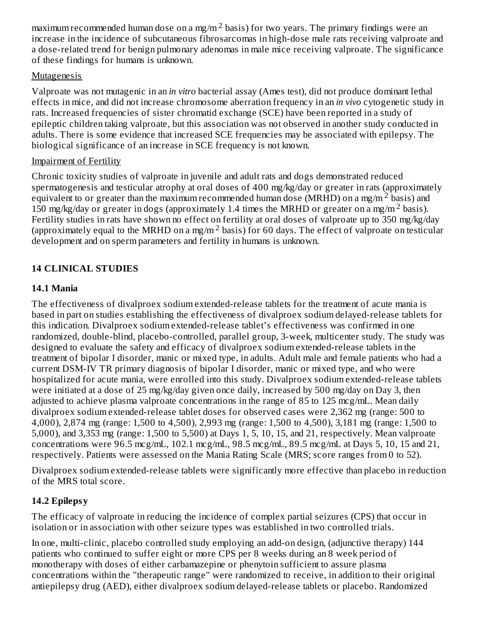maximum recommended human dose on a mg/m  $^2$  basis) for two years. The primary findings were an increase in the incidence of subcutaneous fibrosarcomas in high-dose male rats receiving valproate and a dose-related trend for benign pulmonary adenomas in male mice receiving valproate. The significance of these findings for humans is unknown.

#### Mutagenesis

Valproate was not mutagenic in an *in vitro* bacterial assay (Ames test), did not produce dominant lethal effects in mice, and did not increase chromosome aberration frequency in an *in vivo* cytogenetic study in rats. Increased frequencies of sister chromatid exchange (SCE) have been reported in a study of epileptic children taking valproate, but this association was not observed in another study conducted in adults. There is some evidence that increased SCE frequencies may be associated with epilepsy. The biological significance of an increase in SCE frequency is not known.

#### Impairment of Fertility

Chronic toxicity studies of valproate in juvenile and adult rats and dogs demonstrated reduced spermatogenesis and testicular atrophy at oral doses of 400 mg/kg/day or greater in rats (approximately equivalent to or greater than the maximum recommended human dose (MRHD) on a mg/m<sup>2</sup> basis) and 150 mg/kg/day or greater in dogs (approximately 1.4 times the MRHD or greater on a mg/m<sup>2</sup> basis). Fertility studies in rats have shown no effect on fertility at oral doses of valproate up to 350 mg/kg/day (approximately equal to the MRHD on a mg/m<sup>2</sup> basis) for 60 days. The effect of valproate on testicular development and on sperm parameters and fertility in humans is unknown.

## **14 CLINICAL STUDIES**

### **14.1 Mania**

The effectiveness of divalproex sodium extended-release tablets for the treatment of acute mania is based in part on studies establishing the effectiveness of divalproex sodium delayed-release tablets for this indication. Divalproex sodium extended-release tablet's effectiveness was confirmed in one randomized, double-blind, placebo-controlled, parallel group, 3-week, multicenter study. The study was designed to evaluate the safety and efficacy of divalproex sodium extended-release tablets in the treatment of bipolar I disorder, manic or mixed type, in adults. Adult male and female patients who had a current DSM-IV TR primary diagnosis of bipolar I disorder, manic or mixed type, and who were hospitalized for acute mania, were enrolled into this study. Divalproex sodium extended-release tablets were initiated at a dose of 25 mg/kg/day given once daily, increased by 500 mg/day on Day 3, then adjusted to achieve plasma valproate concentrations in the range of 85 to 125 mcg/mL. Mean daily divalproex sodium extended-release tablet doses for observed cases were 2,362 mg (range: 500 to 4,000), 2,874 mg (range: 1,500 to 4,500), 2,993 mg (range: 1,500 to 4,500), 3,181 mg (range: 1,500 to 5,000), and 3,353 mg (range: 1,500 to 5,500) at Days 1, 5, 10, 15, and 21, respectively. Mean valproate concentrations were 96.5 mcg/mL, 102.1 mcg/mL, 98.5 mcg/mL, 89.5 mcg/mL at Days 5, 10, 15 and 21, respectively. Patients were assessed on the Mania Rating Scale (MRS; score ranges from 0 to 52).

Divalproex sodium extended-release tablets were significantly more effective than placebo in reduction of the MRS total score.

### **14.2 Epilepsy**

The efficacy of valproate in reducing the incidence of complex partial seizures (CPS) that occur in isolation or in association with other seizure types was established in two controlled trials.

In one, multi-clinic, placebo controlled study employing an add-on design, (adjunctive therapy) 144 patients who continued to suffer eight or more CPS per 8 weeks during an 8 week period of monotherapy with doses of either carbamazepine or phenytoin sufficient to assure plasma concentrations within the "therapeutic range" were randomized to receive, in addition to their original antiepilepsy drug (AED), either divalproex sodium delayed-release tablets or placebo. Randomized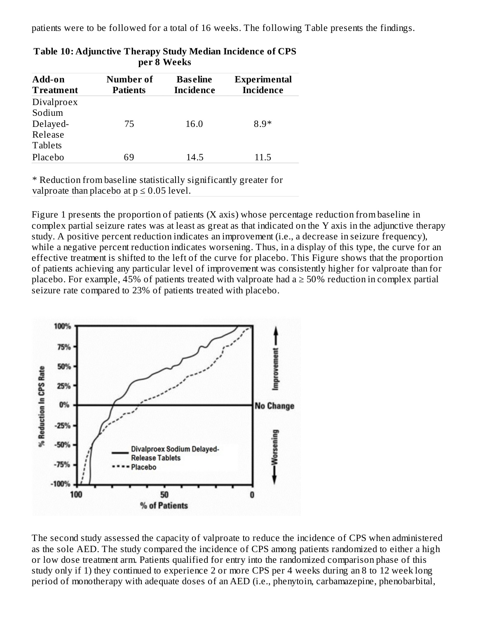patients were to be followed for a total of 16 weeks. The following Table presents the findings.

| Add-on<br><b>Treatment</b> | Number of<br><b>Patients</b> | <b>Baseline</b><br><b>Incidence</b> | <b>Experimental</b><br><b>Incidence</b> |  |  |
|----------------------------|------------------------------|-------------------------------------|-----------------------------------------|--|--|
| Divalproex                 |                              |                                     |                                         |  |  |
| Sodium                     |                              |                                     |                                         |  |  |
| Delayed-                   | 75                           | 16.0                                | $8.9*$                                  |  |  |
| Release                    |                              |                                     |                                         |  |  |
| <b>Tablets</b>             |                              |                                     |                                         |  |  |
| Placebo                    | 69                           | 14.5                                | 11.5                                    |  |  |
|                            |                              |                                     |                                         |  |  |

| Table 10: Adjunctive Therapy Study Median Incidence of CPS |
|------------------------------------------------------------|
| per 8 Weeks                                                |

\* Reduction from baseline statistically significantly greater for valproate than placebo at  $p \le 0.05$  level.

Figure 1 presents the proportion of patients (X axis) whose percentage reduction from baseline in complex partial seizure rates was at least as great as that indicated on the Y axis in the adjunctive therapy study. A positive percent reduction indicates an improvement (i.e., a decrease in seizure frequency), while a negative percent reduction indicates worsening. Thus, in a display of this type, the curve for an effective treatment is shifted to the left of the curve for placebo. This Figure shows that the proportion of patients achieving any particular level of improvement was consistently higher for valproate than for placebo. For example, 45% of patients treated with valproate had  $a \geq 50\%$  reduction in complex partial seizure rate compared to 23% of patients treated with placebo.



The second study assessed the capacity of valproate to reduce the incidence of CPS when administered as the sole AED. The study compared the incidence of CPS among patients randomized to either a high or low dose treatment arm. Patients qualified for entry into the randomized comparison phase of this study only if 1) they continued to experience 2 or more CPS per 4 weeks during an 8 to 12 week long period of monotherapy with adequate doses of an AED (i.e., phenytoin, carbamazepine, phenobarbital,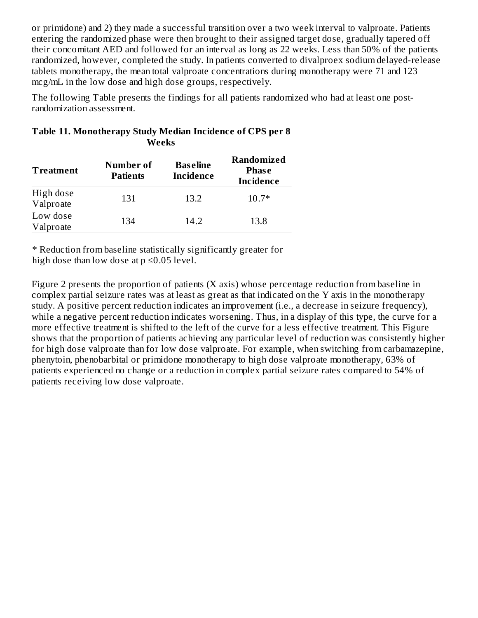or primidone) and 2) they made a successful transition over a two week interval to valproate. Patients entering the randomized phase were then brought to their assigned target dose, gradually tapered off their concomitant AED and followed for an interval as long as 22 weeks. Less than 50% of the patients randomized, however, completed the study. In patients converted to divalproex sodium delayed-release tablets monotherapy, the mean total valproate concentrations during monotherapy were 71 and 123 mcg/mL in the low dose and high dose groups, respectively.

The following Table presents the findings for all patients randomized who had at least one postrandomization assessment.

| <b>Treatment</b>       | Number of<br><b>Patients</b> | <b>Baseline</b><br><b>Incidence</b> | <b>Randomized</b><br><b>Phase</b><br><b>Incidence</b> |
|------------------------|------------------------------|-------------------------------------|-------------------------------------------------------|
| High dose<br>Valproate | 131                          | 13.2                                | $10.7*$                                               |
| Low dose<br>Valproate  | 134                          | 14.2                                | 13.8                                                  |

| Table 11. Monotherapy Study Median Incidence of CPS per 8 |
|-----------------------------------------------------------|
| <b>Weeks</b>                                              |

\* Reduction from baseline statistically significantly greater for high dose than low dose at  $p \le 0.05$  level.

Figure 2 presents the proportion of patients (X axis) whose percentage reduction from baseline in complex partial seizure rates was at least as great as that indicated on the Y axis in the monotherapy study. A positive percent reduction indicates an improvement (i.e., a decrease in seizure frequency), while a negative percent reduction indicates worsening. Thus, in a display of this type, the curve for a more effective treatment is shifted to the left of the curve for a less effective treatment. This Figure shows that the proportion of patients achieving any particular level of reduction was consistently higher for high dose valproate than for low dose valproate. For example, when switching from carbamazepine, phenytoin, phenobarbital or primidone monotherapy to high dose valproate monotherapy, 63% of patients experienced no change or a reduction in complex partial seizure rates compared to 54% of patients receiving low dose valproate.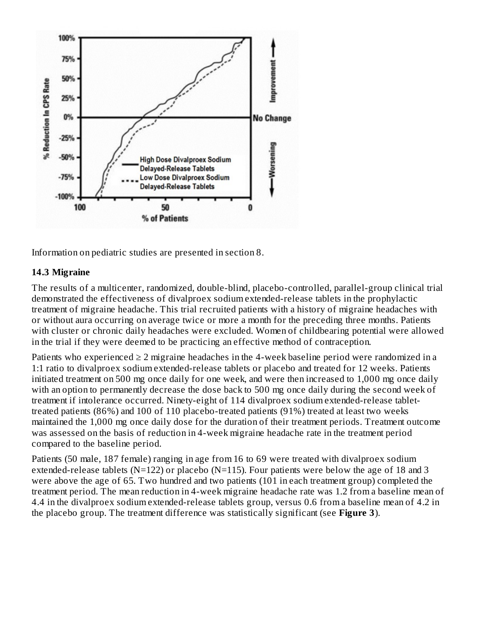

Information on pediatric studies are presented in section 8.

#### **14.3 Migraine**

The results of a multicenter, randomized, double-blind, placebo-controlled, parallel-group clinical trial demonstrated the effectiveness of divalproex sodium extended-release tablets in the prophylactic treatment of migraine headache. This trial recruited patients with a history of migraine headaches with or without aura occurring on average twice or more a month for the preceding three months. Patients with cluster or chronic daily headaches were excluded. Women of childbearing potential were allowed in the trial if they were deemed to be practicing an effective method of contraception.

Patients who experienced  $\geq 2$  migraine headaches in the 4-week baseline period were randomized in a 1:1 ratio to divalproex sodium extended-release tablets or placebo and treated for 12 weeks. Patients initiated treatment on 500 mg once daily for one week, and were then increased to 1,000 mg once daily with an option to permanently decrease the dose back to 500 mg once daily during the second week of treatment if intolerance occurred. Ninety-eight of 114 divalproex sodium extended-release tablettreated patients (86%) and 100 of 110 placebo-treated patients (91%) treated at least two weeks maintained the 1,000 mg once daily dose for the duration of their treatment periods. Treatment outcome was assessed on the basis of reduction in 4-week migraine headache rate in the treatment period compared to the baseline period.

Patients (50 male, 187 female) ranging in age from 16 to 69 were treated with divalproex sodium extended-release tablets (N=122) or placebo (N=115). Four patients were below the age of 18 and 3 were above the age of 65. Two hundred and two patients (101 in each treatment group) completed the treatment period. The mean reduction in 4-week migraine headache rate was 1.2 from a baseline mean of 4.4 in the divalproex sodium extended-release tablets group, versus 0.6 from a baseline mean of 4.2 in the placebo group. The treatment difference was statistically significant (see **Figure 3**).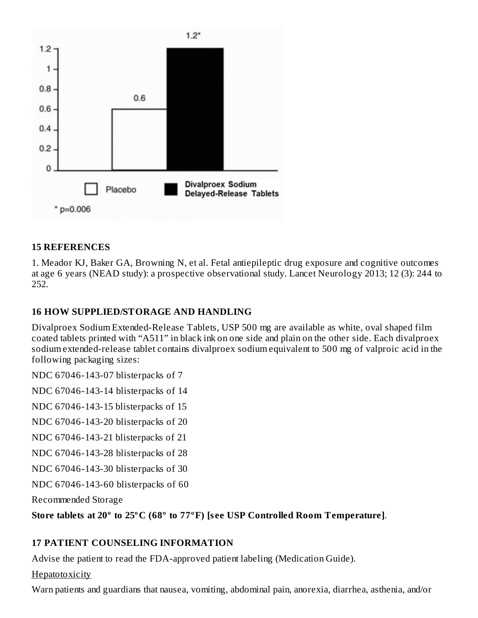

#### **15 REFERENCES**

1. Meador KJ, Baker GA, Browning N, et al. Fetal antiepileptic drug exposure and cognitive outcomes at age 6 years (NEAD study): a prospective observational study. Lancet Neurology 2013; 12 (3): 244 to 252.

#### **16 HOW SUPPLIED/STORAGE AND HANDLING**

Divalproex Sodium Extended-Release Tablets, USP 500 mg are available as white, oval shaped film coated tablets printed with "A511" in black ink on one side and plain on the other side. Each divalproex sodium extended-release tablet contains divalproex sodium equivalent to 500 mg of valproic acid in the following packaging sizes:

NDC 67046-143-07 blisterpacks of 7

NDC 67046-143-14 blisterpacks of 14

NDC 67046-143-15 blisterpacks of 15

NDC 67046-143-20 blisterpacks of 20

NDC 67046-143-21 blisterpacks of 21

NDC 67046-143-28 blisterpacks of 28

NDC 67046-143-30 blisterpacks of 30

NDC 67046-143-60 blisterpacks of 60

Recommended Storage

**Store tablets at 20º to 25ºC (68º to 77ºF) [s ee USP Controlled Room Temperature]**.

### **17 PATIENT COUNSELING INFORMATION**

Advise the patient to read the FDA-approved patient labeling (Medication Guide).

**Hepatotoxicity** 

Warn patients and guardians that nausea, vomiting, abdominal pain, anorexia, diarrhea, asthenia, and/or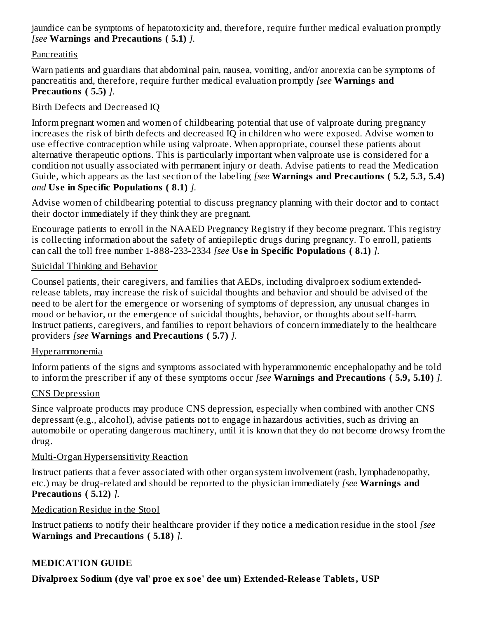jaundice can be symptoms of hepatotoxicity and, therefore, require further medical evaluation promptly *[see* **Warnings and Precautions ( 5.1)** *].*

#### **Pancreatitis**

Warn patients and guardians that abdominal pain, nausea, vomiting, and/or anorexia can be symptoms of pancreatitis and, therefore, require further medical evaluation promptly *[see* **Warnings and Precautions ( 5.5)** *].*

### Birth Defects and Decreased IQ

Inform pregnant women and women of childbearing potential that use of valproate during pregnancy increases the risk of birth defects and decreased IQ in children who were exposed. Advise women to use effective contraception while using valproate. When appropriate, counsel these patients about alternative therapeutic options. This is particularly important when valproate use is considered for a condition not usually associated with permanent injury or death. Advise patients to read the Medication Guide, which appears as the last section of the labeling *[see* **Warnings and Precautions ( 5.2, 5.3, 5.4)** *and* **Us e in Specific Populations ( 8.1)** *].*

Advise women of childbearing potential to discuss pregnancy planning with their doctor and to contact their doctor immediately if they think they are pregnant.

Encourage patients to enroll in the NAAED Pregnancy Registry if they become pregnant. This registry is collecting information about the safety of antiepileptic drugs during pregnancy. To enroll, patients can call the toll free number 1-888-233-2334 *[see* **Us e in Specific Populations ( 8.1)** *].*

#### Suicidal Thinking and Behavior

Counsel patients, their caregivers, and families that AEDs, including divalproex sodium extendedrelease tablets, may increase the risk of suicidal thoughts and behavior and should be advised of the need to be alert for the emergence or worsening of symptoms of depression, any unusual changes in mood or behavior, or the emergence of suicidal thoughts, behavior, or thoughts about self-harm. Instruct patients, caregivers, and families to report behaviors of concern immediately to the healthcare providers *[see* **Warnings and Precautions ( 5.7)** *].*

#### Hyperammonemia

Inform patients of the signs and symptoms associated with hyperammonemic encephalopathy and be told to inform the prescriber if any of these symptoms occur *[see* **Warnings and Precautions ( 5.9, 5.10)** *].*

### CNS Depression

Since valproate products may produce CNS depression, especially when combined with another CNS depressant (e.g., alcohol), advise patients not to engage in hazardous activities, such as driving an automobile or operating dangerous machinery, until it is known that they do not become drowsy from the drug.

### Multi-Organ Hypersensitivity Reaction

Instruct patients that a fever associated with other organ system involvement (rash, lymphadenopathy, etc.) may be drug-related and should be reported to the physician immediately *[see* **Warnings and Precautions ( 5.12)** *].*

#### Medication Residue in the Stool

Instruct patients to notify their healthcare provider if they notice a medication residue in the stool *[see* **Warnings and Precautions ( 5.18)** *].*

### **MEDICATION GUIDE**

**Divalproex Sodium (dye val' proe ex soe' dee um) Extended-Releas e Tablets, USP**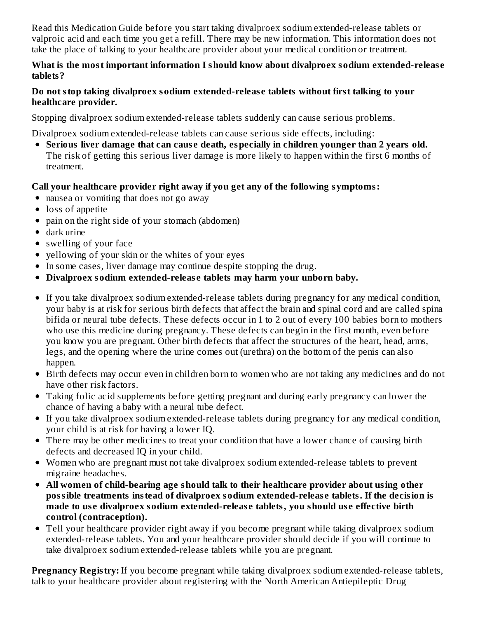Read this Medication Guide before you start taking divalproex sodium extended-release tablets or valproic acid and each time you get a refill. There may be new information. This information does not take the place of talking to your healthcare provider about your medical condition or treatment.

#### **What is the most important information I should know about divalproex sodium extended-releas e tablets?**

#### **Do not stop taking divalproex sodium extended-releas e tablets without first talking to your healthcare provider.**

Stopping divalproex sodium extended-release tablets suddenly can cause serious problems.

Divalproex sodium extended-release tablets can cause serious side effects, including:

**Serious liver damage that can caus e death, especially in children younger than 2 years old.** The risk of getting this serious liver damage is more likely to happen within the first 6 months of treatment.

### **Call your healthcare provider right away if you get any of the following symptoms:**

- nausea or vomiting that does not go away
- loss of appetite
- pain on the right side of your stomach (abdomen)
- dark urine
- swelling of your face
- yellowing of your skin or the whites of your eyes
- In some cases, liver damage may continue despite stopping the drug.
- **Divalproex sodium extended-releas e tablets may harm your unborn baby.**
- If you take divalproex sodium extended-release tablets during pregnancy for any medical condition, your baby is at risk for serious birth defects that affect the brain and spinal cord and are called spina bifida or neural tube defects. These defects occur in 1 to 2 out of every 100 babies born to mothers who use this medicine during pregnancy. These defects can begin in the first month, even before you know you are pregnant. Other birth defects that affect the structures of the heart, head, arms, legs, and the opening where the urine comes out (urethra) on the bottom of the penis can also happen.
- Birth defects may occur even in children born to women who are not taking any medicines and do not have other risk factors.
- Taking folic acid supplements before getting pregnant and during early pregnancy can lower the chance of having a baby with a neural tube defect.
- If you take divalproex sodium extended-release tablets during pregnancy for any medical condition, your child is at risk for having a lower IQ.
- There may be other medicines to treat your condition that have a lower chance of causing birth defects and decreased IQ in your child.
- Women who are pregnant must not take divalproex sodium extended-release tablets to prevent migraine headaches.
- **All women of child-bearing age should talk to their healthcare provider about using other possible treatments instead of divalproex sodium extended-releas e tablets. If the decision is made to us e divalproex sodium extended-releas e tablets, you should us e effective birth control (contraception).**
- Tell your healthcare provider right away if you become pregnant while taking divalproex sodium extended-release tablets. You and your healthcare provider should decide if you will continue to take divalproex sodium extended-release tablets while you are pregnant.

**Pregnancy Registry:** If you become pregnant while taking divalproex sodium extended-release tablets, talk to your healthcare provider about registering with the North American Antiepileptic Drug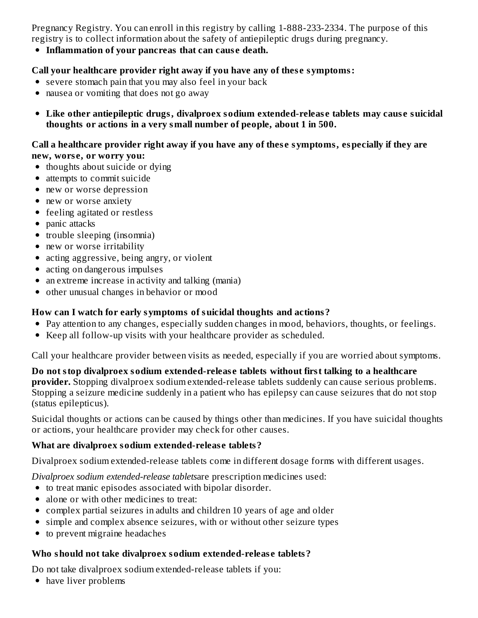Pregnancy Registry. You can enroll in this registry by calling 1-888-233-2334. The purpose of this registry is to collect information about the safety of antiepileptic drugs during pregnancy.

**Inflammation of your pancreas that can caus e death.**

#### **Call your healthcare provider right away if you have any of thes e symptoms:**

- severe stomach pain that you may also feel in your back
- nausea or vomiting that does not go away
- **Like other antiepileptic drugs, divalproex sodium extended-releas e tablets may caus e suicidal thoughts or actions in a very small number of people, about 1 in 500.**

#### **Call a healthcare provider right away if you have any of thes e symptoms, especially if they are new, wors e, or worry you:**

- thoughts about suicide or dying
- attempts to commit suicide
- new or worse depression
- new or worse anxiety
- feeling agitated or restless
- panic attacks
- trouble sleeping (insomnia)
- new or worse irritability
- acting aggressive, being angry, or violent
- acting on dangerous impulses
- an extreme increase in activity and talking (mania)
- other unusual changes in behavior or mood

#### **How can I watch for early symptoms of suicidal thoughts and actions?**

- Pay attention to any changes, especially sudden changes in mood, behaviors, thoughts, or feelings.
- Keep all follow-up visits with your healthcare provider as scheduled.

Call your healthcare provider between visits as needed, especially if you are worried about symptoms.

**Do not stop divalproex sodium extended-releas e tablets without first talking to a healthcare provider.** Stopping divalproex sodium extended-release tablets suddenly can cause serious problems. Stopping a seizure medicine suddenly in a patient who has epilepsy can cause seizures that do not stop (status epilepticus).

Suicidal thoughts or actions can be caused by things other than medicines. If you have suicidal thoughts or actions, your healthcare provider may check for other causes.

#### **What are divalproex sodium extended-releas e tablets?**

Divalproex sodium extended-release tablets come in different dosage forms with different usages.

*Divalproex sodium extended-release tablets*are prescription medicines used:

- to treat manic episodes associated with bipolar disorder.
- alone or with other medicines to treat:
- complex partial seizures in adults and children 10 years of age and older
- simple and complex absence seizures, with or without other seizure types
- to prevent migraine headaches

#### **Who should not take divalproex sodium extended-releas e tablets?**

Do not take divalproex sodium extended-release tablets if you:

• have liver problems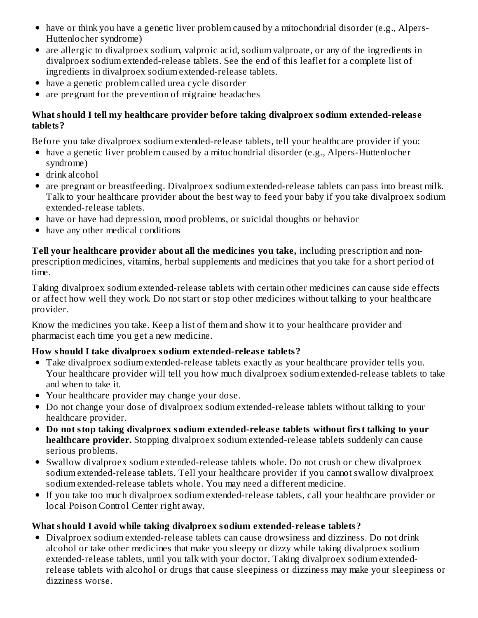- have or think you have a genetic liver problem caused by a mitochondrial disorder (e.g., Alpers-Huttenlocher syndrome)
- are allergic to divalproex sodium, valproic acid, sodium valproate, or any of the ingredients in divalproex sodium extended-release tablets. See the end of this leaflet for a complete list of ingredients in divalproex sodium extended-release tablets.
- have a genetic problem called urea cycle disorder
- are pregnant for the prevention of migraine headaches

#### **What should I tell my healthcare provider before taking divalproex sodium extended-releas e tablets?**

Before you take divalproex sodium extended-release tablets, tell your healthcare provider if you:

- have a genetic liver problem caused by a mitochondrial disorder (e.g., Alpers-Huttenlocher syndrome)
- drink alcohol
- are pregnant or breastfeeding. Divalproex sodium extended-release tablets can pass into breast milk. Talk to your healthcare provider about the best way to feed your baby if you take divalproex sodium extended-release tablets.
- have or have had depression, mood problems, or suicidal thoughts or behavior
- have any other medical conditions

**Tell your healthcare provider about all the medicines you take,** including prescription and nonprescription medicines, vitamins, herbal supplements and medicines that you take for a short period of time.

Taking divalproex sodium extended-release tablets with certain other medicines can cause side effects or affect how well they work. Do not start or stop other medicines without talking to your healthcare provider.

Know the medicines you take. Keep a list of them and show it to your healthcare provider and pharmacist each time you get a new medicine.

#### **How should I take divalproex sodium extended-releas e tablets?**

- Take divalproex sodium extended-release tablets exactly as your healthcare provider tells you. Your healthcare provider will tell you how much divalproex sodium extended-release tablets to take and when to take it.
- Your healthcare provider may change your dose.
- Do not change your dose of divalproex sodium extended-release tablets without talking to your healthcare provider.
- **Do not stop taking divalproex sodium extended-releas e tablets without first talking to your healthcare provider.** Stopping divalproex sodium extended-release tablets suddenly can cause serious problems.
- Swallow divalproex sodium extended-release tablets whole. Do not crush or chew divalproex sodium extended-release tablets. Tell your healthcare provider if you cannot swallow divalproex sodium extended-release tablets whole. You may need a different medicine.
- If you take too much divalproex sodium extended-release tablets, call your healthcare provider or local Poison Control Center right away.

#### **What should I avoid while taking divalproex sodium extended-releas e tablets?**

Divalproex sodium extended-release tablets can cause drowsiness and dizziness. Do not drink alcohol or take other medicines that make you sleepy or dizzy while taking divalproex sodium extended-release tablets, until you talk with your doctor. Taking divalproex sodium extendedrelease tablets with alcohol or drugs that cause sleepiness or dizziness may make your sleepiness or dizziness worse.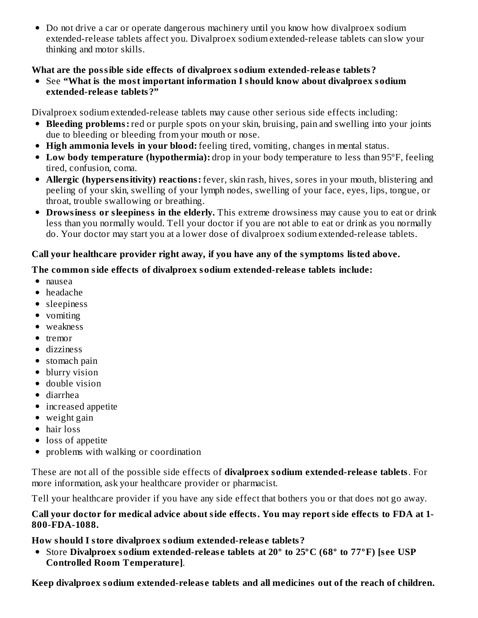• Do not drive a car or operate dangerous machinery until you know how divalproex sodium extended-release tablets affect you. Divalproex sodium extended-release tablets can slow your thinking and motor skills.

#### **What are the possible side effects of divalproex sodium extended-releas e tablets?**

See **"What is the most important information I should know about divalproex sodium extended-releas e tablets?"**

Divalproex sodium extended-release tablets may cause other serious side effects including:

- **Bleeding problems:** red or purple spots on your skin, bruising, pain and swelling into your joints due to bleeding or bleeding from your mouth or nose.
- **High ammonia levels in your blood:** feeling tired, vomiting, changes in mental status.
- **Low body temperature (hypothermia):** drop in your body temperature to less than 95ºF, feeling tired, confusion, coma.
- **Allergic (hypers ensitivity) reactions:** fever, skin rash, hives, sores in your mouth, blistering and peeling of your skin, swelling of your lymph nodes, swelling of your face, eyes, lips, tongue, or throat, trouble swallowing or breathing.
- **Drowsiness or sleepiness in the elderly.** This extreme drowsiness may cause you to eat or drink less than you normally would. Tell your doctor if you are not able to eat or drink as you normally do. Your doctor may start you at a lower dose of divalproex sodium extended-release tablets.

### **Call your healthcare provider right away, if you have any of the symptoms listed above.**

### **The common side effects of divalproex sodium extended-releas e tablets include:**

- nausea
- headache
- sleepiness
- vomiting
- weakness
- $\bullet$  tremor
- dizziness
- stomach pain
- blurry vision
- double vision
- diarrhea
- increased appetite
- weight gain
- hair loss
- loss of appetite
- problems with walking or coordination

These are not all of the possible side effects of **divalproex sodium extended-releas e tablets**. For more information, ask your healthcare provider or pharmacist.

Tell your healthcare provider if you have any side effect that bothers you or that does not go away.

#### **Call your doctor for medical advice about side effects. You may report side effects to FDA at 1- 800-FDA-1088.**

**How should I store divalproex sodium extended-releas e tablets?**

Store **Divalproex sodium extended-releas e tablets at 20º to 25ºC (68º to 77ºF) [s ee USP Controlled Room Temperature]**.

**Keep divalproex sodium extended-releas e tablets and all medicines out of the reach of children.**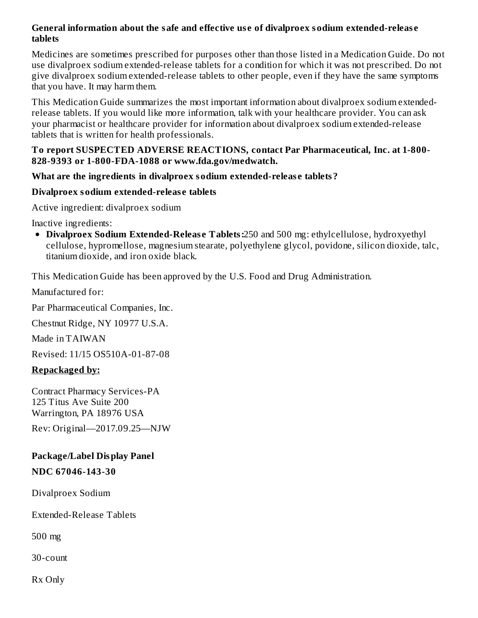#### **General information about the safe and effective us e of divalproex sodium extended-releas e tablets**

Medicines are sometimes prescribed for purposes other than those listed in a Medication Guide. Do not use divalproex sodium extended-release tablets for a condition for which it was not prescribed. Do not give divalproex sodium extended-release tablets to other people, even if they have the same symptoms that you have. It may harm them.

This Medication Guide summarizes the most important information about divalproex sodium extendedrelease tablets. If you would like more information, talk with your healthcare provider. You can ask your pharmacist or healthcare provider for information about divalproex sodium extended-release tablets that is written for health professionals.

#### **To report SUSPECTED ADVERSE REACTIONS, contact Par Pharmaceutical, Inc. at 1-800- 828-9393 or 1-800-FDA-1088 or www.fda.gov/medwatch.**

#### **What are the ingredients in divalproex sodium extended-releas e tablets?**

#### **Divalproex sodium extended-releas e tablets**

Active ingredient: divalproex sodium

Inactive ingredients:

**Divalproex Sodium Extended-Releas e Tablets:**250 and 500 mg: ethylcellulose, hydroxyethyl cellulose, hypromellose, magnesium stearate, polyethylene glycol, povidone, silicon dioxide, talc, titanium dioxide, and iron oxide black.

This Medication Guide has been approved by the U.S. Food and Drug Administration.

Manufactured for:

Par Pharmaceutical Companies, Inc.

Chestnut Ridge, NY 10977 U.S.A.

Made in TAIWAN

Revised: 11/15 OS510A-01-87-08

#### **Repackaged by:**

Contract Pharmacy Services-PA 125 Titus Ave Suite 200 Warrington, PA 18976 USA

Rev: Original—2017.09.25—NJW

## **Package/Label Display Panel**

#### **NDC 67046-143-30**

Divalproex Sodium

Extended-Release Tablets

500 mg

30-count

Rx Only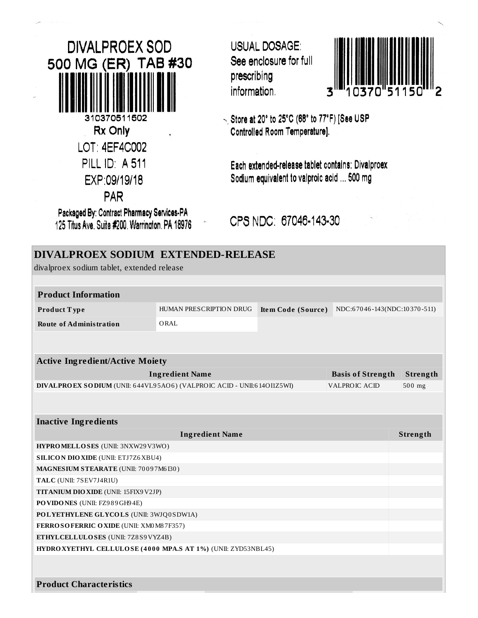**DIVALPROEX SOD** 500 MG (ER) TAB #30 310370511502 Rx Only LOT: 4EF4C002 **PILL ID: A 511** EXP:09/19/18 PAR Packaged By: Contract Pharmacy Services-PA

125 Titus Ave. Suite #200. Warrington. PA 18976

**USUAL DOSAGE:** See enclosure for full prescribing information.



Store at 20° to 25°C (68° to 77°F) [See USP Controlled Room Temperature].

Each extended-release tablet contains: Divalproex Sodium equivalent to valproic acid ... 500 mg

CPS NDC: 67046-143-30

| DIVALPROEX SODIUM EXTENDED-RELEASE<br>divalproex sodium tablet, extended release |                         |                    |                              |          |  |  |
|----------------------------------------------------------------------------------|-------------------------|--------------------|------------------------------|----------|--|--|
|                                                                                  |                         |                    |                              |          |  |  |
| <b>Product Information</b>                                                       |                         |                    |                              |          |  |  |
| Product Type                                                                     | HUMAN PRESCRIPTION DRUG | Item Code (Source) | NDC:67046-143(NDC:10370-511) |          |  |  |
| <b>Route of Administration</b>                                                   | ORAL                    |                    |                              |          |  |  |
|                                                                                  |                         |                    |                              |          |  |  |
| <b>Active Ingredient/Active Moiety</b>                                           |                         |                    |                              |          |  |  |
|                                                                                  | <b>Ingredient Name</b>  |                    | <b>Basis of Strength</b>     | Strength |  |  |
| DIVALPROEX SODIUM (UNII: 644VL95AO6) (VALPROIC ACID - UNII:614O11Z5WI)           |                         |                    | <b>VALPROIC ACID</b>         | 500 mg   |  |  |
|                                                                                  |                         |                    |                              |          |  |  |
|                                                                                  |                         |                    |                              |          |  |  |
| <b>Inactive Ingredients</b>                                                      |                         |                    |                              |          |  |  |
|                                                                                  | <b>Ingredient Name</b>  |                    |                              | Strength |  |  |
| HYPROMELLOSES (UNII: 3NXW29V3WO)                                                 |                         |                    |                              |          |  |  |
| <b>SILICON DIO XIDE (UNII: ETJ7Z6 XBU4)</b>                                      |                         |                    |                              |          |  |  |
| MAGNESIUM STEARATE (UNII: 70097M6I30)                                            |                         |                    |                              |          |  |  |
| TALC (UNII: 7SEV7J4R1U)                                                          |                         |                    |                              |          |  |  |
| TITANIUM DIO XIDE (UNII: 15FIX9 V2JP)                                            |                         |                    |                              |          |  |  |
| PO VIDONES (UNII: FZ989GH94E)                                                    |                         |                    |                              |          |  |  |
| POLYETHYLENE GLYCOLS (UNII: 3WJQ0SDW1A)                                          |                         |                    |                              |          |  |  |
| FERROSOFERRIC OXIDE (UNII: XM0 M8 7F357)                                         |                         |                    |                              |          |  |  |
| ETHYLCELLULOSES (UNII: 7Z8S9VYZ4B)                                               |                         |                    |                              |          |  |  |
| HYDRO XYETHYL CELLULOSE (4000 MPA.S AT 1%) (UNII: ZYD53NBL45)                    |                         |                    |                              |          |  |  |
|                                                                                  |                         |                    |                              |          |  |  |
| <b>Product Characteristics</b>                                                   |                         |                    |                              |          |  |  |